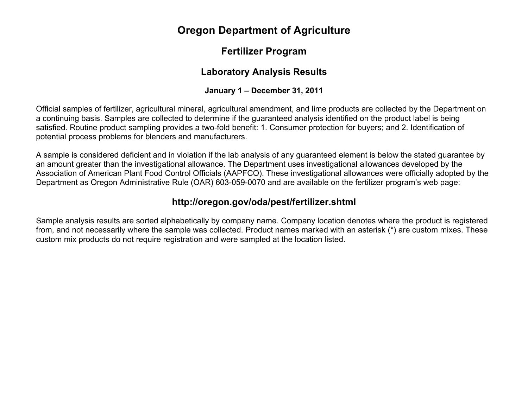# **Oregon Department of Agriculture**

# **Fertilizer Program**

## **Laboratory Analysis Results**

### **January 1 – December 31, 2011**

Official samples of fertilizer, agricultural mineral, agricultural amendment, and lime products are collected by the Department on a continuing basis. Samples are collected to determine if the guaranteed analysis identified on the product label is being satisfied. Routine product sampling provides a two-fold benefit: 1. Consumer protection for buyers; and 2. Identification of potential process problems for blenders and manufacturers.

A sample is considered deficient and in violation if the lab analysis of any guaranteed element is below the stated guarantee by an amount greater than the investigational allowance. The Department uses investigational allowances developed by the Association of American Plant Food Control Officials (AAPFCO). These investigational allowances were officially adopted by the Department as Oregon Administrative Rule (OAR) 603-059-0070 and are available on the fertilizer program's web page:

## **http://oregon.gov/oda/pest/fertilizer.shtml**

Sample analysis results are sorted alphabetically by company name. Company location denotes where the product is registered from, and not necessarily where the sample was collected. Product names marked with an asterisk (\*) are custom mixes. These custom mix products do not require registration and were sampled at the location listed.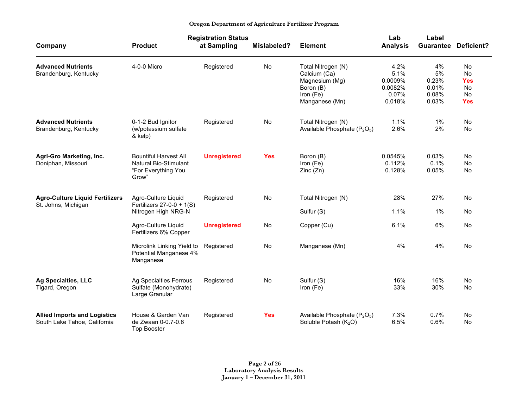|                                                                     |                                                                                              | <b>Registration Status</b> |                    |                                                                                                  | Lab                                                   | Label                                        |                                                         |
|---------------------------------------------------------------------|----------------------------------------------------------------------------------------------|----------------------------|--------------------|--------------------------------------------------------------------------------------------------|-------------------------------------------------------|----------------------------------------------|---------------------------------------------------------|
| Company                                                             | <b>Product</b>                                                                               | at Sampling                | <b>Mislabeled?</b> | <b>Element</b>                                                                                   | <b>Analysis</b>                                       | Guarantee                                    | Deficient?                                              |
| <b>Advanced Nutrients</b><br>Brandenburg, Kentucky                  | 4-0-0 Micro                                                                                  | Registered                 | <b>No</b>          | Total Nitrogen (N)<br>Calcium (Ca)<br>Magnesium (Mg)<br>Boron (B)<br>Iron (Fe)<br>Manganese (Mn) | 4.2%<br>5.1%<br>0.0009%<br>0.0082%<br>0.07%<br>0.018% | 4%<br>5%<br>0.23%<br>0.01%<br>0.08%<br>0.03% | <b>No</b><br>No<br><b>Yes</b><br>No<br>No<br><b>Yes</b> |
| <b>Advanced Nutrients</b><br>Brandenburg, Kentucky                  | 0-1-2 Bud Ignitor<br>(w/potassium sulfate<br>& kelp)                                         | Registered                 | No                 | Total Nitrogen (N)<br>Available Phosphate (P <sub>2</sub> O <sub>5</sub> )                       | 1.1%<br>2.6%                                          | $1\%$<br>2%                                  | No<br>No                                                |
| Agri-Gro Marketing, Inc.<br>Doniphan, Missouri                      | <b>Bountiful Harvest All</b><br><b>Natural Bio-Stimulant</b><br>"For Everything You<br>Grow" | <b>Unregistered</b>        | <b>Yes</b>         | Boron (B)<br>Iron (Fe)<br>Zinc(Zn)                                                               | 0.0545%<br>0.112%<br>0.128%                           | 0.03%<br>0.1%<br>0.05%                       | <b>No</b><br>No<br>No                                   |
| <b>Agro-Culture Liquid Fertilizers</b><br>St. Johns, Michigan       | Agro-Culture Liquid<br>Fertilizers $27-0-0 + 1(S)$<br>Nitrogen High NRG-N                    | Registered                 | No                 | Total Nitrogen (N)<br>Sulfur (S)                                                                 | 28%<br>1.1%                                           | 27%<br>$1\%$                                 | No<br>No                                                |
|                                                                     | Agro-Culture Liquid<br>Fertilizers 6% Copper                                                 | <b>Unregistered</b>        | No                 | Copper (Cu)                                                                                      | 6.1%                                                  | 6%                                           | <b>No</b>                                               |
|                                                                     | Microlink Linking Yield to<br>Potential Manganese 4%<br>Manganese                            | Registered                 | No                 | Manganese (Mn)                                                                                   | 4%                                                    | 4%                                           | No                                                      |
| <b>Ag Specialties, LLC</b><br>Tigard, Oregon                        | Ag Specialties Ferrous<br>Sulfate (Monohydrate)<br>Large Granular                            | Registered                 | No                 | Sulfur (S)<br>Iron (Fe)                                                                          | 16%<br>33%                                            | 16%<br>30%                                   | <b>No</b><br>No                                         |
| <b>Allied Imports and Logistics</b><br>South Lake Tahoe, California | House & Garden Van<br>de Zwaan 0-0.7-0.6<br><b>Top Booster</b>                               | Registered                 | <b>Yes</b>         | Available Phosphate (P <sub>2</sub> O <sub>5</sub> )<br>Soluble Potash (K <sub>2</sub> O)        | 7.3%<br>6.5%                                          | 0.7%<br>0.6%                                 | No<br>No                                                |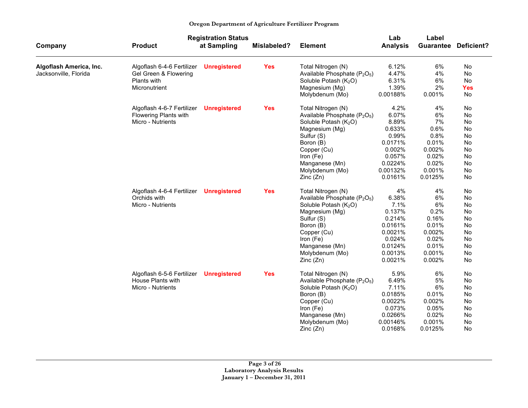|                         |                            | <b>Registration Status</b> |             |                                                      | Lab             | Label            |                   |
|-------------------------|----------------------------|----------------------------|-------------|------------------------------------------------------|-----------------|------------------|-------------------|
| Company                 | <b>Product</b>             | at Sampling                | Mislabeled? | <b>Element</b>                                       | <b>Analysis</b> | <b>Guarantee</b> | <b>Deficient?</b> |
| Algoflash America, Inc. | Algoflash 6-4-6 Fertilizer | <b>Unregistered</b>        | <b>Yes</b>  | Total Nitrogen (N)                                   | 6.12%           | 6%               | No                |
| Jacksonville, Florida   | Gel Green & Flowering      |                            |             | Available Phosphate (P <sub>2</sub> O <sub>5</sub> ) | 4.47%           | 4%               | No                |
|                         | Plants with                |                            |             | Soluble Potash (K <sub>2</sub> O)                    | 6.31%           | 6%               | No                |
|                         | Micronutrient              |                            |             | Magnesium (Mg)                                       | 1.39%           | 2%               | <b>Yes</b>        |
|                         |                            |                            |             | Molybdenum (Mo)                                      | 0.00188%        | 0.001%           | <b>No</b>         |
|                         | Algoflash 4-6-7 Fertilizer | <b>Unregistered</b>        | <b>Yes</b>  | Total Nitrogen (N)                                   | 4.2%            | 4%               | No                |
|                         | Flowering Plants with      |                            |             | Available Phosphate (P <sub>2</sub> O <sub>5</sub> ) | 6.07%           | 6%               | No                |
|                         | Micro - Nutrients          |                            |             | Soluble Potash (K <sub>2</sub> O)                    | 8.89%           | 7%               | No                |
|                         |                            |                            |             | Magnesium (Mg)                                       | 0.633%          | 0.6%             | No                |
|                         |                            |                            |             | Sulfur (S)                                           | 0.99%           | 0.8%             | No                |
|                         |                            |                            |             | Boron (B)                                            | 0.0171%         | 0.01%            | No                |
|                         |                            |                            |             | Copper (Cu)                                          | 0.002%          | 0.002%           | No                |
|                         |                            |                            |             | Iron (Fe)                                            | 0.057%          | 0.02%            | No                |
|                         |                            |                            |             | Manganese (Mn)                                       | 0.0224%         | 0.02%            | No                |
|                         |                            |                            |             | Molybdenum (Mo)                                      | 0.00132%        | 0.001%           | No                |
|                         |                            |                            |             | Zinc(Zn)                                             | 0.0161%         | 0.0125%          | No                |
|                         | Algoflash 4-6-4 Fertilizer | <b>Unregistered</b>        | <b>Yes</b>  | Total Nitrogen (N)                                   | 4%              | 4%               | No                |
|                         | Orchids with               |                            |             | Available Phosphate (P <sub>2</sub> O <sub>5</sub> ) | 6.38%           | 6%               | No                |
|                         | Micro - Nutrients          |                            |             | Soluble Potash (K <sub>2</sub> O)                    | 7.1%            | 6%               | No                |
|                         |                            |                            |             | Magnesium (Mg)                                       | 0.137%          | 0.2%             | No                |
|                         |                            |                            |             | Sulfur (S)                                           | 0.214%          | 0.16%            | <b>No</b>         |
|                         |                            |                            |             | Boron (B)                                            | 0.0161%         | 0.01%            | No                |
|                         |                            |                            |             | Copper (Cu)                                          | 0.0021%         | 0.002%           | No                |
|                         |                            |                            |             | Iron (Fe)                                            | 0.024%          | 0.02%            | No                |
|                         |                            |                            |             | Manganese (Mn)                                       | 0.0124%         | 0.01%            | No                |
|                         |                            |                            |             | Molybdenum (Mo)                                      | 0.0013%         | 0.001%           | No                |
|                         |                            |                            |             | Zinc(Zn)                                             | 0.0021%         | 0.002%           | No                |
|                         | Algoflash 6-5-6 Fertilizer | <b>Unregistered</b>        | <b>Yes</b>  | Total Nitrogen (N)                                   | 5.9%            | 6%               | No                |
|                         | House Plants with          |                            |             | Available Phosphate (P <sub>2</sub> O <sub>5</sub> ) | 6.49%           | 5%               | No                |
|                         | Micro - Nutrients          |                            |             | Soluble Potash (K <sub>2</sub> O)                    | 7.11%           | 6%               | No                |
|                         |                            |                            |             | Boron (B)                                            | 0.0185%         | 0.01%            | <b>No</b>         |
|                         |                            |                            |             | Copper (Cu)                                          | 0.0022%         | 0.002%           | No                |
|                         |                            |                            |             | Iron (Fe)                                            | 0.073%          | 0.05%            | No                |
|                         |                            |                            |             | Manganese (Mn)                                       | 0.0266%         | 0.02%            | No                |
|                         |                            |                            |             | Molybdenum (Mo)                                      | 0.00146%        | 0.001%           | No                |
|                         |                            |                            |             | Zinc(Zn)                                             | 0.0168%         | 0.0125%          | No                |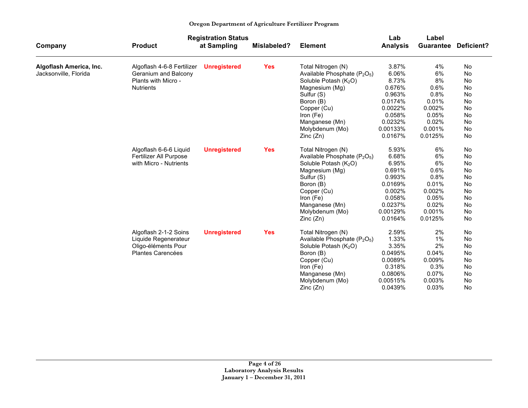|                         |                            | <b>Registration Status</b> |             |                                                      | Lab             | Label            |                   |
|-------------------------|----------------------------|----------------------------|-------------|------------------------------------------------------|-----------------|------------------|-------------------|
| Company                 | <b>Product</b>             | at Sampling                | Mislabeled? | <b>Element</b>                                       | <b>Analysis</b> | <b>Guarantee</b> | <b>Deficient?</b> |
| Algoflash America, Inc. | Algoflash 4-6-8 Fertilizer | <b>Unregistered</b>        | <b>Yes</b>  | Total Nitrogen (N)                                   | 3.87%           | 4%               | No                |
| Jacksonville, Florida   | Geranium and Balcony       |                            |             | Available Phosphate (P <sub>2</sub> O <sub>5</sub> ) | 6.06%           | 6%               | <b>No</b>         |
|                         | Plants with Micro -        |                            |             | Soluble Potash (K <sub>2</sub> O)                    | 8.73%           | 8%               | No                |
|                         | <b>Nutrients</b>           |                            |             | Magnesium (Mg)                                       | 0.676%          | 0.6%             | No                |
|                         |                            |                            |             | Sulfur (S)                                           | 0.963%          | 0.8%             | No                |
|                         |                            |                            |             | Boron (B)                                            | 0.0174%         | 0.01%            | No                |
|                         |                            |                            |             | Copper (Cu)                                          | 0.0022%         | 0.002%           | No                |
|                         |                            |                            |             | Iron (Fe)                                            | 0.058%          | 0.05%            | No                |
|                         |                            |                            |             | Manganese (Mn)                                       | 0.0232%         | 0.02%            | No                |
|                         |                            |                            |             | Molybdenum (Mo)                                      | 0.00133%        | 0.001%           | No                |
|                         |                            |                            |             | Zinc(Zn)                                             | 0.0167%         | 0.0125%          | No                |
|                         | Algoflash 6-6-6 Liquid     | <b>Unregistered</b>        | <b>Yes</b>  | Total Nitrogen (N)                                   | 5.93%           | 6%               | No                |
|                         | Fertilizer All Purpose     |                            |             | Available Phosphate (P <sub>2</sub> O <sub>5</sub> ) | 6.68%           | 6%               | No                |
|                         | with Micro - Nutrients     |                            |             | Soluble Potash (K <sub>2</sub> O)                    | 6.95%           | 6%               | No                |
|                         |                            |                            |             | Magnesium (Mg)                                       | 0.691%          | 0.6%             | No                |
|                         |                            |                            |             | Sulfur (S)                                           | 0.993%          | 0.8%             | No                |
|                         |                            |                            |             | Boron (B)                                            | 0.0169%         | 0.01%            | No                |
|                         |                            |                            |             | Copper (Cu)                                          | 0.002%          | 0.002%           | No                |
|                         |                            |                            |             | Iron (Fe)                                            | 0.058%          | 0.05%            | No                |
|                         |                            |                            |             | Manganese (Mn)                                       | 0.0237%         | 0.02%            | No                |
|                         |                            |                            |             | Molybdenum (Mo)                                      | 0.00129%        | 0.001%           | No                |
|                         |                            |                            |             | Zinc(Zn)                                             | 0.0164%         | 0.0125%          | No                |
|                         | Algoflash 2-1-2 Soins      | <b>Unregistered</b>        | <b>Yes</b>  | Total Nitrogen (N)                                   | 2.59%           | 2%               | No                |
|                         | Liquide Regenerateur       |                            |             | Available Phosphate (P <sub>2</sub> O <sub>5</sub> ) | 1.33%           | 1%               | No                |
|                         | Oligo-éléments Pour        |                            |             | Soluble Potash (K <sub>2</sub> O)                    | 3.35%           | 2%               | No                |
|                         | Plantes Carencées          |                            |             | Boron (B)                                            | 0.0495%         | 0.04%            | No                |
|                         |                            |                            |             | Copper (Cu)                                          | 0.0089%         | 0.009%           | No                |
|                         |                            |                            |             | Iron (Fe)                                            | 0.318%          | 0.3%             | No                |
|                         |                            |                            |             | Manganese (Mn)                                       | 0.0806%         | 0.07%            | No                |
|                         |                            |                            |             | Molybdenum (Mo)                                      | 0.00515%        | 0.003%           | No                |
|                         |                            |                            |             | Zinc (Zn)                                            | 0.0439%         | 0.03%            | No                |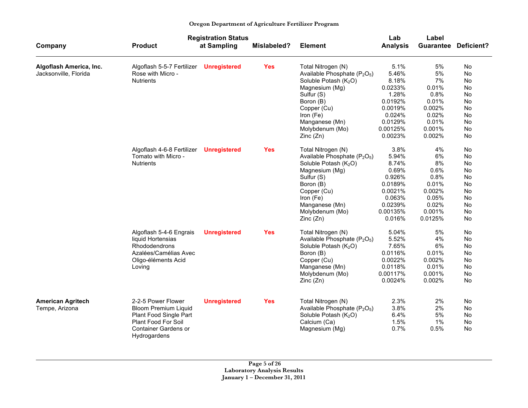|                          |                                                       | <b>Registration Status</b> |             |                                                                     | Lab             | Label     |                   |
|--------------------------|-------------------------------------------------------|----------------------------|-------------|---------------------------------------------------------------------|-----------------|-----------|-------------------|
| Company                  | <b>Product</b>                                        | at Sampling                | Mislabeled? | <b>Element</b>                                                      | <b>Analysis</b> | Guarantee | <b>Deficient?</b> |
| Algoflash America, Inc.  | Algoflash 5-5-7 Fertilizer                            | <b>Unregistered</b>        | <b>Yes</b>  | Total Nitrogen (N)                                                  | 5.1%            | 5%        | No                |
| Jacksonville, Florida    | Rose with Micro -                                     |                            |             | Available Phosphate (P <sub>2</sub> O <sub>5</sub> )                | 5.46%           | 5%        | <b>No</b>         |
|                          | <b>Nutrients</b>                                      |                            |             | Soluble Potash (K <sub>2</sub> O)                                   | 8.18%           | 7%        | <b>No</b>         |
|                          |                                                       |                            |             | Magnesium (Mg)                                                      | 0.0233%         | 0.01%     | No                |
|                          |                                                       |                            |             | Sulfur (S)                                                          | 1.28%           | 0.8%      | No                |
|                          |                                                       |                            |             | Boron (B)                                                           | 0.0192%         | 0.01%     | No                |
|                          |                                                       |                            |             | Copper (Cu)                                                         | 0.0019%         | 0.002%    | No                |
|                          |                                                       |                            |             | Iron (Fe)                                                           | 0.024%          | 0.02%     | No                |
|                          |                                                       |                            |             | Manganese (Mn)                                                      | 0.0129%         | 0.01%     | No                |
|                          |                                                       |                            |             | Molybdenum (Mo)                                                     | 0.00125%        | 0.001%    | No                |
|                          |                                                       |                            |             | Zinc(Zn)                                                            | 0.0023%         | 0.002%    | No                |
|                          | Algoflash 4-6-8 Fertilizer                            | <b>Unregistered</b>        | <b>Yes</b>  | Total Nitrogen (N)                                                  | 3.8%            | 4%        | No                |
|                          | Tomato with Micro -                                   |                            |             | Available Phosphate (P <sub>2</sub> O <sub>5</sub> )                | 5.94%           | 6%        | No                |
|                          | <b>Nutrients</b>                                      |                            |             | Soluble Potash (K <sub>2</sub> O)                                   | 8.74%           | 8%        | No                |
|                          |                                                       |                            |             | Magnesium (Mg)                                                      | 0.69%           | 0.6%      | No                |
|                          |                                                       |                            |             | Sulfur (S)                                                          | 0.926%          | 0.8%      | No                |
|                          |                                                       |                            |             | Boron (B)                                                           | 0.0189%         | 0.01%     | <b>No</b>         |
|                          |                                                       |                            |             | Copper (Cu)                                                         | 0.0021%         | 0.002%    | No.               |
|                          |                                                       |                            |             | Iron (Fe)                                                           | 0.063%          | 0.05%     | No                |
|                          |                                                       |                            |             | Manganese (Mn)                                                      | 0.0239%         | 0.02%     | No                |
|                          |                                                       |                            |             | Molybdenum (Mo)                                                     | 0.00135%        | 0.001%    | No                |
|                          |                                                       |                            |             | Zinc(Zn)                                                            | 0.016%          | 0.0125%   | No                |
|                          | Algoflash 5-4-6 Engrais                               | <b>Unregistered</b>        | <b>Yes</b>  | Total Nitrogen (N)                                                  | 5.04%           | 5%        | No                |
|                          | liquid Hortensias                                     |                            |             | Available Phosphate (P <sub>2</sub> O <sub>5</sub> )                | 5.52%           | 4%        | No                |
|                          | <b>Rhododendrons</b>                                  |                            |             | Soluble Potash (K <sub>2</sub> O)                                   | 7.65%           | 6%        | No                |
|                          | Azalées/Camélias Avec                                 |                            |             | Boron (B)                                                           | 0.0116%         | 0.01%     | No                |
|                          | Oligo-éléments Acid                                   |                            |             | Copper (Cu)                                                         | 0.0022%         | 0.002%    | No                |
|                          | Loving                                                |                            |             | Manganese (Mn)                                                      | 0.0118%         | 0.01%     | No.               |
|                          |                                                       |                            |             | Molybdenum (Mo)                                                     | 0.00117%        | 0.001%    | <b>No</b>         |
|                          |                                                       |                            |             | Zinc(Zn)                                                            | 0.0024%         | 0.002%    | No                |
|                          | 2-2-5 Power Flower                                    |                            | <b>Yes</b>  |                                                                     | 2.3%            | 2%        |                   |
| <b>American Agritech</b> |                                                       | <b>Unregistered</b>        |             | Total Nitrogen (N)                                                  | 3.8%            | 2%        | No.<br>No         |
| Tempe, Arizona           | <b>Bloom Premium Liquid</b><br>Plant Food Single Part |                            |             | Available Phosphate $(P_2O_5)$<br>Soluble Potash (K <sub>2</sub> O) | 6.4%            | 5%        | No                |
|                          | <b>Plant Food For Soil</b>                            |                            |             | Calcium (Ca)                                                        | 1.5%            | 1%        | No.               |
|                          | <b>Container Gardens or</b>                           |                            |             |                                                                     | 0.7%            | 0.5%      | <b>No</b>         |
|                          | Hydrogardens                                          |                            |             | Magnesium (Mg)                                                      |                 |           |                   |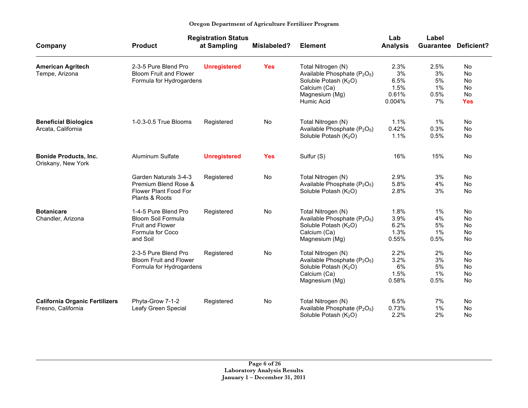| Oregon Department of Agriculture Fertilizer Program |  |  |  |  |  |  |  |  |  |  |  |
|-----------------------------------------------------|--|--|--|--|--|--|--|--|--|--|--|
|-----------------------------------------------------|--|--|--|--|--|--|--|--|--|--|--|

|                                                             |                                                                                                       | <b>Registration Status</b> |             |                                                                                                                                                                 | Lab                                           | Label                                |                                                 |
|-------------------------------------------------------------|-------------------------------------------------------------------------------------------------------|----------------------------|-------------|-----------------------------------------------------------------------------------------------------------------------------------------------------------------|-----------------------------------------------|--------------------------------------|-------------------------------------------------|
| Company                                                     | <b>Product</b>                                                                                        | at Sampling                | Mislabeled? | <b>Element</b>                                                                                                                                                  | <b>Analysis</b>                               | <b>Guarantee</b>                     | <b>Deficient?</b>                               |
| <b>American Agritech</b><br>Tempe, Arizona                  | 2-3-5 Pure Blend Pro<br><b>Bloom Fruit and Flower</b><br>Formula for Hydrogardens                     | <b>Unregistered</b>        | <b>Yes</b>  | Total Nitrogen (N)<br>Available Phosphate (P <sub>2</sub> O <sub>5</sub> )<br>Soluble Potash (K <sub>2</sub> O)<br>Calcium (Ca)<br>Magnesium (Mg)<br>Humic Acid | 2.3%<br>3%<br>6.5%<br>1.5%<br>0.61%<br>0.004% | 2.5%<br>3%<br>5%<br>1%<br>0.5%<br>7% | No<br>No<br>No<br><b>No</b><br>No<br><b>Yes</b> |
| <b>Beneficial Biologics</b><br>Arcata, California           | 1-0.3-0.5 True Blooms                                                                                 | Registered                 | No          | Total Nitrogen (N)<br>Available Phosphate (P <sub>2</sub> O <sub>5</sub> )<br>Soluble Potash $(K_2O)$                                                           | 1.1%<br>0.42%<br>1.1%                         | 1%<br>0.3%<br>0.5%                   | <b>No</b><br>No<br>No                           |
| <b>Bonide Products, Inc.</b><br>Oriskany, New York          | <b>Aluminum Sulfate</b>                                                                               | <b>Unregistered</b>        | <b>Yes</b>  | Sulfur (S)                                                                                                                                                      | 16%                                           | 15%                                  | <b>No</b>                                       |
|                                                             | Garden Naturals 3-4-3<br>Premium Blend Rose &<br>Flower Plant Food For<br>Plants & Roots              | Registered                 | <b>No</b>   | Total Nitrogen (N)<br>Available Phosphate (P <sub>2</sub> O <sub>5</sub> )<br>Soluble Potash (K <sub>2</sub> O)                                                 | 2.9%<br>5.8%<br>2.8%                          | 3%<br>4%<br>3%                       | <b>No</b><br><b>No</b><br><b>No</b>             |
| <b>Botanicare</b><br>Chandler, Arizona                      | 1-4-5 Pure Blend Pro<br>Bloom Soil Formula<br><b>Fruit and Flower</b><br>Formula for Coco<br>and Soil | Registered                 | No          | Total Nitrogen (N)<br>Available Phosphate (P <sub>2</sub> O <sub>5</sub> )<br>Soluble Potash (K <sub>2</sub> O)<br>Calcium (Ca)<br>Magnesium (Mg)               | 1.8%<br>3.9%<br>6.2%<br>1.3%<br>0.55%         | 1%<br>4%<br>5%<br>1%<br>0.5%         | No<br><b>No</b><br><b>No</b><br>No<br>No        |
|                                                             | 2-3-5 Pure Blend Pro<br><b>Bloom Fruit and Flower</b><br>Formula for Hydrogardens                     | Registered                 | <b>No</b>   | Total Nitrogen (N)<br>Available Phosphate (P <sub>2</sub> O <sub>5</sub> )<br>Soluble Potash (K <sub>2</sub> O)<br>Calcium (Ca)<br>Magnesium (Mg)               | 2.2%<br>3.2%<br>6%<br>1.5%<br>0.58%           | 2%<br>3%<br>5%<br>1%<br>0.5%         | <b>No</b><br><b>No</b><br>No<br>No<br><b>No</b> |
| <b>California Organic Fertilizers</b><br>Fresno, California | Phyta-Grow 7-1-2<br>Leafy Green Special                                                               | Registered                 | No          | Total Nitrogen (N)<br>Available Phosphate (P <sub>2</sub> O <sub>5</sub> )<br>Soluble Potash (K <sub>2</sub> O)                                                 | 6.5%<br>0.73%<br>2.2%                         | 7%<br>1%<br>2%                       | No<br>No<br><b>No</b>                           |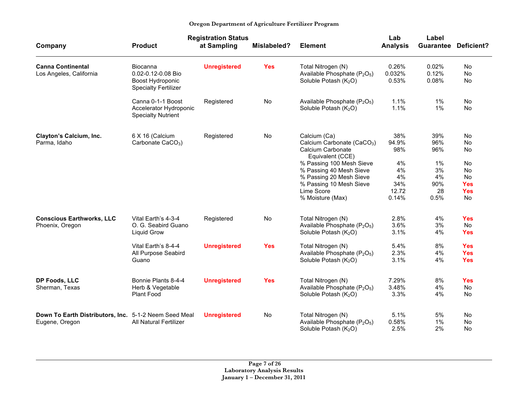|                                                                         |                                                                                         | <b>Registration Status</b>        |                  |                                                                                                                                                                                                                                                | Lab                                                            | Label                                                    |                                                                                  |
|-------------------------------------------------------------------------|-----------------------------------------------------------------------------------------|-----------------------------------|------------------|------------------------------------------------------------------------------------------------------------------------------------------------------------------------------------------------------------------------------------------------|----------------------------------------------------------------|----------------------------------------------------------|----------------------------------------------------------------------------------|
| Company                                                                 | <b>Product</b>                                                                          | at Sampling                       | Mislabeled?      | <b>Element</b>                                                                                                                                                                                                                                 | <b>Analysis</b>                                                | <b>Guarantee</b>                                         | Deficient?                                                                       |
| <b>Canna Continental</b><br>Los Angeles, California                     | Biocanna<br>0.02-0.12-0.08 Bio<br>Boost Hydroponic<br><b>Specialty Fertilizer</b>       | <b>Unregistered</b>               | <b>Yes</b>       | Total Nitrogen (N)<br>Available Phosphate (P <sub>2</sub> O <sub>5</sub> )<br>Soluble Potash (K <sub>2</sub> O)                                                                                                                                | 0.26%<br>0.032%<br>0.53%                                       | 0.02%<br>0.12%<br>0.08%                                  | <b>No</b><br>No<br>No                                                            |
|                                                                         | Canna 0-1-1 Boost<br>Accelerator Hydroponic<br><b>Specialty Nutrient</b>                | Registered                        | No               | Available Phosphate (P <sub>2</sub> O <sub>5</sub> )<br>Soluble Potash (K <sub>2</sub> O)                                                                                                                                                      | 1.1%<br>1.1%                                                   | 1%<br>1%                                                 | No<br><b>No</b>                                                                  |
| Clayton's Calcium, Inc.<br>Parma, Idaho                                 | 6 X 16 (Calcium<br>Carbonate CaCO <sub>3</sub> )                                        | Registered                        | No               | Calcium (Ca)<br>Calcium Carbonate (CaCO <sub>3</sub> )<br>Calcium Carbonate<br>Equivalent (CCE)<br>% Passing 100 Mesh Sieve<br>% Passing 40 Mesh Sieve<br>% Passing 20 Mesh Sieve<br>% Passing 10 Mesh Sieve<br>Lime Score<br>% Moisture (Max) | 38%<br>94.9%<br>98%<br>4%<br>4%<br>4%<br>34%<br>12.72<br>0.14% | 39%<br>96%<br>96%<br>1%<br>3%<br>4%<br>90%<br>28<br>0.5% | No<br>No<br>No<br>No<br><b>No</b><br>No<br><b>Yes</b><br><b>Yes</b><br><b>No</b> |
| <b>Conscious Earthworks, LLC</b><br>Phoenix, Oregon                     | Vital Earth's 4-3-4<br>O. G. Seabird Guano<br><b>Liquid Grow</b><br>Vital Earth's 8-4-4 | Registered<br><b>Unregistered</b> | No<br><b>Yes</b> | Total Nitrogen (N)<br>Available Phosphate (P <sub>2</sub> O <sub>5</sub> )<br>Soluble Potash (K <sub>2</sub> O)<br>Total Nitrogen (N)                                                                                                          | 2.8%<br>3.6%<br>3.1%<br>5.4%                                   | 4%<br>3%<br>4%<br>8%                                     | <b>Yes</b><br>No<br><b>Yes</b><br><b>Yes</b>                                     |
|                                                                         | All Purpose Seabird<br>Guano                                                            |                                   |                  | Available Phosphate (P <sub>2</sub> O <sub>5</sub> )<br>Soluble Potash $(K_2O)$                                                                                                                                                                | 2.3%<br>3.1%                                                   | 4%<br>4%                                                 | <b>Yes</b><br><b>Yes</b>                                                         |
| DP Foods, LLC<br>Sherman, Texas                                         | Bonnie Plants 8-4-4<br>Herb & Vegetable<br>Plant Food                                   | <b>Unregistered</b>               | <b>Yes</b>       | Total Nitrogen (N)<br>Available Phosphate (P <sub>2</sub> O <sub>5</sub> )<br>Soluble Potash (K <sub>2</sub> O)                                                                                                                                | 7.29%<br>3.48%<br>3.3%                                         | 8%<br>4%<br>4%                                           | <b>Yes</b><br>No<br>No                                                           |
| Down To Earth Distributors, Inc. 5-1-2 Neem Seed Meal<br>Eugene, Oregon | <b>All Natural Fertilizer</b>                                                           | <b>Unregistered</b>               | No               | Total Nitrogen (N)<br>Available Phosphate (P <sub>2</sub> O <sub>5</sub> )<br>Soluble Potash (K <sub>2</sub> O)                                                                                                                                | 5.1%<br>0.58%<br>2.5%                                          | 5%<br>1%<br>2%                                           | No<br>No<br>No.                                                                  |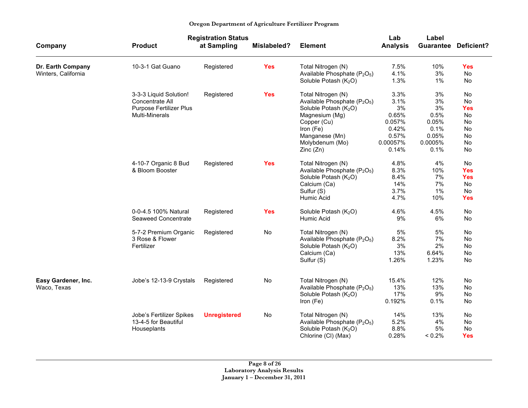|  | Oregon Department of Agriculture Fertilizer Program |  |
|--|-----------------------------------------------------|--|
|  |                                                     |  |

|                                          |                          | <b>Registration Status</b> |             |                                                                            | Lab             | Label     |                             |
|------------------------------------------|--------------------------|----------------------------|-------------|----------------------------------------------------------------------------|-----------------|-----------|-----------------------------|
| Company                                  | <b>Product</b>           | at Sampling                | Mislabeled? | <b>Element</b>                                                             | <b>Analysis</b> |           | <b>Guarantee Deficient?</b> |
| Dr. Earth Company<br>Winters, California | 10-3-1 Gat Guano         | Registered                 | <b>Yes</b>  | Total Nitrogen (N)<br>Available Phosphate (P <sub>2</sub> O <sub>5</sub> ) | 7.5%<br>4.1%    | 10%<br>3% | <b>Yes</b><br><b>No</b>     |
|                                          |                          |                            |             | Soluble Potash (K <sub>2</sub> O)                                          | 1.3%            | 1%        | <b>No</b>                   |
|                                          | 3-3-3 Liquid Solution!   | Registered                 | <b>Yes</b>  | Total Nitrogen (N)                                                         | 3.3%            | 3%        | <b>No</b>                   |
|                                          | Concentrate All          |                            |             | Available Phosphate (P <sub>2</sub> O <sub>5</sub> )                       | 3.1%            | 3%        | No                          |
|                                          | Purpose Fertilizer Plus  |                            |             | Soluble Potash (K <sub>2</sub> O)                                          | 3%              | 3%        | <b>Yes</b>                  |
|                                          | <b>Multi-Minerals</b>    |                            |             | Magnesium (Mg)                                                             | 0.65%           | 0.5%      | No                          |
|                                          |                          |                            |             | Copper (Cu)                                                                | 0.057%          | 0.05%     | No                          |
|                                          |                          |                            |             | Iron (Fe)                                                                  | 0.42%           | 0.1%      | <b>No</b>                   |
|                                          |                          |                            |             | Manganese (Mn)                                                             | 0.57%           | 0.05%     | <b>No</b>                   |
|                                          |                          |                            |             | Molybdenum (Mo)                                                            | 0.00057%        | 0.0005%   | No                          |
|                                          |                          |                            |             | Zinc(Zn)                                                                   | 0.14%           | 0.1%      | <b>No</b>                   |
|                                          | 4-10-7 Organic 8 Bud     | Registered                 | <b>Yes</b>  | Total Nitrogen (N)                                                         | 4.8%            | 4%        | No                          |
|                                          | & Bloom Booster          |                            |             | Available Phosphate (P <sub>2</sub> O <sub>5</sub> )                       | 8.3%            | 10%       | <b>Yes</b>                  |
|                                          |                          |                            |             | Soluble Potash (K <sub>2</sub> O)                                          | 8.4%            | 7%        | <b>Yes</b>                  |
|                                          |                          |                            |             | Calcium (Ca)                                                               | 14%             | 7%        | <b>No</b>                   |
|                                          |                          |                            |             | Sulfur (S)                                                                 | 3.7%            | 1%        | No                          |
|                                          |                          |                            |             | Humic Acid                                                                 | 4.7%            | 10%       | <b>Yes</b>                  |
|                                          | 0-0-4.5 100% Natural     | Registered                 | <b>Yes</b>  | Soluble Potash (K <sub>2</sub> O)                                          | 4.6%            | 4.5%      | No                          |
|                                          | Seaweed Concentrate      |                            |             | Humic Acid                                                                 | 9%              | 6%        | No                          |
|                                          | 5-7-2 Premium Organic    | Registered                 | No          | Total Nitrogen (N)                                                         | 5%              | 5%        | No                          |
|                                          | 3 Rose & Flower          |                            |             | Available Phosphate (P <sub>2</sub> O <sub>5</sub> )                       | 8.2%            | 7%        | No                          |
|                                          | Fertilizer               |                            |             | Soluble Potash (K <sub>2</sub> O)                                          | 3%              | 2%        | <b>No</b>                   |
|                                          |                          |                            |             | Calcium (Ca)                                                               | 13%             | 6.64%     | No                          |
|                                          |                          |                            |             | Sulfur (S)                                                                 | 1.26%           | 1.23%     | <b>No</b>                   |
| Easy Gardener, Inc.                      | Jobe's 12-13-9 Crystals  | Registered                 | No          | Total Nitrogen (N)                                                         | 15.4%           | 12%       | <b>No</b>                   |
| Waco, Texas                              |                          |                            |             | Available Phosphate (P <sub>2</sub> O <sub>5</sub> )                       | 13%             | 13%       | No                          |
|                                          |                          |                            |             | Soluble Potash (K <sub>2</sub> O)                                          | 17%             | 9%        | No                          |
|                                          |                          |                            |             | Iron (Fe)                                                                  | 0.192%          | 0.1%      | <b>No</b>                   |
|                                          | Jobe's Fertilizer Spikes | <b>Unregistered</b>        | No          | Total Nitrogen (N)                                                         | 14%             | 13%       | <b>No</b>                   |
|                                          | 13-4-5 for Beautiful     |                            |             | Available Phosphate (P <sub>2</sub> O <sub>5</sub> )                       | 5.2%            | 4%        | No                          |
|                                          | Houseplants              |                            |             | Soluble Potash (K <sub>2</sub> O)                                          | 8.8%            | 5%        | No                          |
|                                          |                          |                            |             | Chlorine (CI) (Max)                                                        | 0.28%           | < 0.2%    | <b>Yes</b>                  |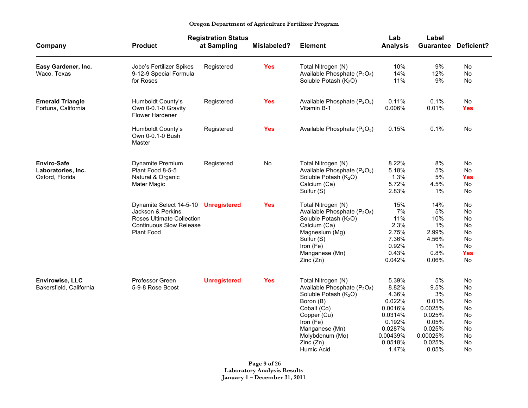|                                                             |                                                                                                                                               | <b>Registration Status</b> |             |                                                                                                                                                                                                                                        | Lab                                                                                                          | Label                                                                                            |                                                                                               |
|-------------------------------------------------------------|-----------------------------------------------------------------------------------------------------------------------------------------------|----------------------------|-------------|----------------------------------------------------------------------------------------------------------------------------------------------------------------------------------------------------------------------------------------|--------------------------------------------------------------------------------------------------------------|--------------------------------------------------------------------------------------------------|-----------------------------------------------------------------------------------------------|
| Company                                                     | <b>Product</b>                                                                                                                                | at Sampling                | Mislabeled? | <b>Element</b>                                                                                                                                                                                                                         | <b>Analysis</b>                                                                                              |                                                                                                  | <b>Guarantee Deficient?</b>                                                                   |
| Easy Gardener, Inc.<br>Waco, Texas                          | Jobe's Fertilizer Spikes<br>9-12-9 Special Formula<br>for Roses                                                                               | Registered                 | <b>Yes</b>  | Total Nitrogen (N)<br>Available Phosphate (P <sub>2</sub> O <sub>5</sub> )<br>Soluble Potash (K <sub>2</sub> O)                                                                                                                        | 10%<br>14%<br>11%                                                                                            | 9%<br>12%<br>9%                                                                                  | No<br>No.<br>No                                                                               |
| <b>Emerald Triangle</b><br>Fortuna, California              | Humboldt County's<br>Own 0-0.1-0 Gravity<br><b>Flower Hardener</b>                                                                            | Registered                 | <b>Yes</b>  | Available Phosphate $(P_2O_5)$<br>Vitamin B-1                                                                                                                                                                                          | 0.11%<br>0.006%                                                                                              | 0.1%<br>0.01%                                                                                    | No<br><b>Yes</b>                                                                              |
|                                                             | Humboldt County's<br>Own 0-0.1-0 Bush<br>Master                                                                                               | Registered                 | <b>Yes</b>  | Available Phosphate $(P_2O_5)$                                                                                                                                                                                                         | 0.15%                                                                                                        | 0.1%                                                                                             | No                                                                                            |
| <b>Enviro-Safe</b><br>Laboratories, Inc.<br>Oxford, Florida | Dynamite Premium<br>Plant Food 8-5-5<br>Natural & Organic<br><b>Mater Magic</b>                                                               | Registered                 | No          | Total Nitrogen (N)<br>Available Phosphate (P <sub>2</sub> O <sub>5</sub> )<br>Soluble Potash (K <sub>2</sub> O)<br>Calcium (Ca)<br>Sulfur (S)                                                                                          | 8.22%<br>5.18%<br>1.3%<br>5.72%<br>2.83%                                                                     | 8%<br>5%<br>5%<br>4.5%<br>1%                                                                     | No<br><b>No</b><br><b>Yes</b><br><b>No</b><br><b>No</b>                                       |
|                                                             | Dynamite Select 14-5-10 Unregistered<br>Jackson & Perkins<br>Roses Ultimate Collection<br><b>Continuous Slow Release</b><br><b>Plant Food</b> |                            | <b>Yes</b>  | Total Nitrogen (N)<br>Available Phosphate (P <sub>2</sub> O <sub>5</sub> )<br>Soluble Potash (K <sub>2</sub> O)<br>Calcium (Ca)<br>Magnesium (Mg)<br>Sulfur (S)<br>Iron (Fe)<br>Manganese (Mn)<br>Zinc(Zn)                             | 15%<br>7%<br>11%<br>2.3%<br>2.75%<br>7.36%<br>0.92%<br>0.43%<br>0.042%                                       | 14%<br>5%<br>10%<br>1%<br>2.99%<br>4.56%<br>1%<br>0.8%<br>0.06%                                  | <b>No</b><br><b>No</b><br><b>No</b><br>No<br><b>No</b><br><b>No</b><br>No<br><b>Yes</b><br>No |
| <b>Envirowise, LLC</b><br>Bakersfield, California           | Professor Green<br>5-9-8 Rose Boost                                                                                                           | <b>Unregistered</b>        | <b>Yes</b>  | Total Nitrogen (N)<br>Available Phosphate (P <sub>2</sub> O <sub>5</sub> )<br>Soluble Potash (K <sub>2</sub> O)<br>Boron (B)<br>Cobalt (Co)<br>Copper (Cu)<br>Iron (Fe)<br>Manganese (Mn)<br>Molybdenum (Mo)<br>Zinc(Zn)<br>Humic Acid | 5.39%<br>8.82%<br>4.36%<br>0.022%<br>0.0016%<br>0.0314%<br>0.192%<br>0.0287%<br>0.00439%<br>0.0518%<br>1.47% | 5%<br>9.5%<br>3%<br>0.01%<br>0.0025%<br>0.025%<br>0.05%<br>0.025%<br>0.00025%<br>0.025%<br>0.05% | No<br><b>No</b><br>No<br>No<br>No<br><b>No</b><br><b>No</b><br>No<br><b>No</b><br>No<br>No.   |

**Page 9 of 26 Laboratory Analysis Results January 1 – December 31, 2011**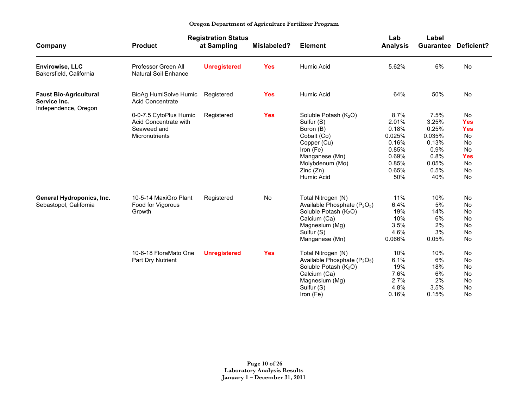|                                                                       |                                                                                  | <b>Registration Status</b> |             |                                                                                                                                                                    | Lab                                                                                  | Label                                                                             |                                                                                                              |
|-----------------------------------------------------------------------|----------------------------------------------------------------------------------|----------------------------|-------------|--------------------------------------------------------------------------------------------------------------------------------------------------------------------|--------------------------------------------------------------------------------------|-----------------------------------------------------------------------------------|--------------------------------------------------------------------------------------------------------------|
| Company                                                               | <b>Product</b>                                                                   | at Sampling                | Mislabeled? | <b>Element</b>                                                                                                                                                     | <b>Analysis</b>                                                                      | <b>Guarantee</b>                                                                  | Deficient?                                                                                                   |
| <b>Envirowise, LLC</b><br>Bakersfield, California                     | Professor Green All<br><b>Natural Soil Enhance</b>                               | <b>Unregistered</b>        | <b>Yes</b>  | Humic Acid                                                                                                                                                         | 5.62%                                                                                | 6%                                                                                | No                                                                                                           |
| <b>Faust Bio-Agricultural</b><br>Service Inc.<br>Independence, Oregon | BioAg HumiSolve Humic<br>Acid Concentrate                                        | Registered                 | <b>Yes</b>  | Humic Acid                                                                                                                                                         | 64%                                                                                  | 50%                                                                               | <b>No</b>                                                                                                    |
|                                                                       | 0-0-7.5 CytoPlus Humic<br>Acid Concentrate with<br>Seaweed and<br>Micronutrients | Registered                 | <b>Yes</b>  | Soluble Potash $(K_2O)$<br>Sulfur (S)<br>Boron (B)<br>Cobalt (Co)<br>Copper (Cu)<br>Iron (Fe)<br>Manganese (Mn)<br>Molybdenum (Mo)<br>Zinc(Zn)<br>Humic Acid       | 8.7%<br>2.01%<br>0.18%<br>0.025%<br>0.16%<br>0.85%<br>0.69%<br>0.85%<br>0.65%<br>50% | 7.5%<br>3.25%<br>0.25%<br>0.035%<br>0.13%<br>0.9%<br>0.8%<br>0.05%<br>0.5%<br>40% | <b>No</b><br><b>Yes</b><br><b>Yes</b><br><b>No</b><br>No<br><b>No</b><br><b>Yes</b><br>No<br><b>No</b><br>No |
| General Hydroponics, Inc.<br>Sebastopol, California                   | 10-5-14 MaxiGro Plant<br>Food for Vigorous<br>Growth                             | Registered                 | No          | Total Nitrogen (N)<br>Available Phosphate $(P_2O_5)$<br>Soluble Potash (K <sub>2</sub> O)<br>Calcium (Ca)<br>Magnesium (Mg)<br>Sulfur (S)<br>Manganese (Mn)        | 11%<br>6.4%<br>19%<br>10%<br>3.5%<br>4.6%<br>0.066%                                  | 10%<br>5%<br>14%<br>6%<br>2%<br>3%<br>0.05%                                       | No<br><b>No</b><br>No<br><b>No</b><br>No<br>No<br><b>No</b>                                                  |
|                                                                       | 10-6-18 FloraMato One<br>Part Dry Nutrient                                       | <b>Unregistered</b>        | <b>Yes</b>  | Total Nitrogen (N)<br>Available Phosphate (P <sub>2</sub> O <sub>5</sub> )<br>Soluble Potash $(K_2O)$<br>Calcium (Ca)<br>Magnesium (Mg)<br>Sulfur (S)<br>Iron (Fe) | 10%<br>6.1%<br>19%<br>7.6%<br>2.7%<br>4.8%<br>0.16%                                  | 10%<br>6%<br>18%<br>6%<br>2%<br>3.5%<br>0.15%                                     | No<br>No<br>No<br><b>No</b><br><b>No</b><br>No<br><b>No</b>                                                  |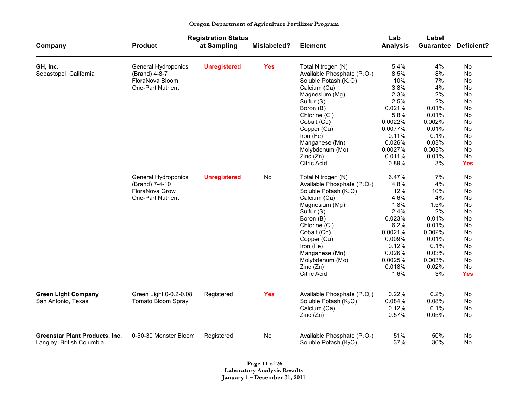|                                       |                                              | <b>Registration Status</b> |             |                                                                                           | Lab             | Label    |                             |
|---------------------------------------|----------------------------------------------|----------------------------|-------------|-------------------------------------------------------------------------------------------|-----------------|----------|-----------------------------|
| Company                               | <b>Product</b>                               | at Sampling                | Mislabeled? | <b>Element</b>                                                                            | <b>Analysis</b> |          | <b>Guarantee Deficient?</b> |
| GH, Inc.                              | General Hydroponics                          | <b>Unregistered</b>        | <b>Yes</b>  | Total Nitrogen (N)                                                                        | 5.4%            | 4%       | No                          |
| Sebastopol, California                | (Brand) 4-8-7                                |                            |             | Available Phosphate (P <sub>2</sub> O <sub>5</sub> )                                      | 8.5%            | 8%       | No                          |
|                                       | FloraNova Bloom                              |                            |             | Soluble Potash (K <sub>2</sub> O)                                                         | 10%             | 7%       | No                          |
|                                       | <b>One-Part Nutrient</b>                     |                            |             | Calcium (Ca)                                                                              | 3.8%            | 4%       | No                          |
|                                       |                                              |                            |             | Magnesium (Mg)                                                                            | 2.3%            | 2%       | No                          |
|                                       |                                              |                            |             | Sulfur (S)                                                                                | 2.5%            | 2%       | No                          |
|                                       |                                              |                            |             | Boron (B)                                                                                 | 0.021%          | 0.01%    | No                          |
|                                       |                                              |                            |             | Chlorine (CI)                                                                             | 5.8%            | 0.01%    | No                          |
|                                       |                                              |                            |             | Cobalt (Co)                                                                               | 0.0022%         | 0.002%   | No                          |
|                                       |                                              |                            |             | Copper (Cu)                                                                               | 0.0077%         | $0.01\%$ | No                          |
|                                       |                                              |                            |             | Iron (Fe)                                                                                 | 0.11%           | 0.1%     | No                          |
|                                       |                                              |                            |             | Manganese (Mn)                                                                            | 0.026%          | 0.03%    | No                          |
|                                       |                                              |                            |             | Molybdenum (Mo)                                                                           | 0.0027%         | 0.003%   | No                          |
|                                       |                                              |                            |             | Zinc(Zn)                                                                                  | 0.011%          | 0.01%    | No                          |
|                                       |                                              |                            |             | Citric Acid                                                                               | 0.89%           | 3%       | <b>Yes</b>                  |
|                                       | General Hydroponics                          | <b>Unregistered</b>        | No          | Total Nitrogen (N)                                                                        | 6.47%           | 7%       | No                          |
|                                       | (Brand) 7-4-10                               |                            |             | Available Phosphate (P <sub>2</sub> O <sub>5</sub> )                                      | 4.8%            | 4%       | No                          |
|                                       | FloraNova Grow                               |                            |             | Soluble Potash (K <sub>2</sub> O)                                                         | 12%             | 10%      | No                          |
|                                       | <b>One-Part Nutrient</b>                     |                            |             | Calcium (Ca)                                                                              | 4.6%            | 4%       | No                          |
|                                       |                                              |                            |             | Magnesium (Mg)                                                                            | 1.8%            | 1.5%     | No                          |
|                                       |                                              |                            |             | Sulfur (S)                                                                                | 2.4%            | 2%       | No                          |
|                                       |                                              |                            |             | Boron (B)                                                                                 | 0.023%          | 0.01%    | No                          |
|                                       |                                              |                            |             | Chlorine (CI)                                                                             | 6.2%            | 0.01%    | No                          |
|                                       |                                              |                            |             | Cobalt (Co)                                                                               | 0.0021%         | 0.002%   | No                          |
|                                       |                                              |                            |             | Copper (Cu)                                                                               | 0.009%          | 0.01%    | No                          |
|                                       |                                              |                            |             | Iron (Fe)                                                                                 | 0.12%           | 0.1%     | No                          |
|                                       |                                              |                            |             | Manganese (Mn)                                                                            | 0.026%          | 0.03%    | No                          |
|                                       |                                              |                            |             | Molybdenum (Mo)                                                                           | 0.0025%         | 0.003%   | No                          |
|                                       |                                              |                            |             | Zinc(Zn)                                                                                  | 0.018%          | 0.02%    | No                          |
|                                       |                                              |                            |             | Citric Acid                                                                               | 1.6%            | 3%       | <b>Yes</b>                  |
|                                       |                                              |                            |             |                                                                                           | 0.22%           | 0.2%     | No                          |
| <b>Green Light Company</b>            | Green Light 0-0.2-0.08<br>Tomato Bloom Spray | Registered                 | <b>Yes</b>  | Available Phosphate (P <sub>2</sub> O <sub>5</sub> )<br>Soluble Potash (K <sub>2</sub> O) | 0.084%          | 0.08%    | No                          |
| San Antonio, Texas                    |                                              |                            |             |                                                                                           | 0.12%           | 0.1%     | No                          |
|                                       |                                              |                            |             | Calcium (Ca)                                                                              | 0.57%           | 0.05%    |                             |
|                                       |                                              |                            |             | Zinc(Zn)                                                                                  |                 |          | No                          |
| <b>Greenstar Plant Products, Inc.</b> | 0-50-30 Monster Bloom                        | Registered                 | <b>No</b>   | Available Phosphate (P <sub>2</sub> O <sub>5</sub> )                                      | 51%             | 50%      | No                          |
| Langley, British Columbia             |                                              |                            |             | Soluble Potash (K <sub>2</sub> O)                                                         | 37%             | 30%      | No                          |
|                                       |                                              |                            |             |                                                                                           |                 |          |                             |

**Page 11 of 26 Laboratory Analysis Results January 1 – December 31, 2011**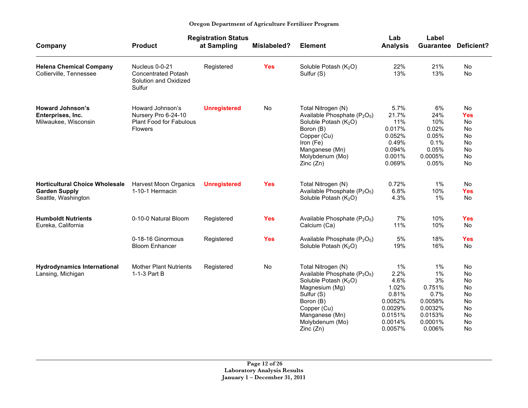|                                                                                      | <b>Registration Status</b>                                                           |                     |             |                                                                                                                                                                                                                              | Lab                                                                                         | Label                                                                                     |                                                                                 |
|--------------------------------------------------------------------------------------|--------------------------------------------------------------------------------------|---------------------|-------------|------------------------------------------------------------------------------------------------------------------------------------------------------------------------------------------------------------------------------|---------------------------------------------------------------------------------------------|-------------------------------------------------------------------------------------------|---------------------------------------------------------------------------------|
| Company                                                                              | <b>Product</b>                                                                       | at Sampling         | Mislabeled? | <b>Element</b>                                                                                                                                                                                                               | <b>Analysis</b>                                                                             | <b>Guarantee</b>                                                                          | <b>Deficient?</b>                                                               |
| <b>Helena Chemical Company</b><br>Collierville, Tennessee                            | Nucleus 0-0-21<br><b>Concentrated Potash</b><br>Solution and Oxidized<br>Sulfur      | Registered          | <b>Yes</b>  | Soluble Potash (K <sub>2</sub> O)<br>Sulfur (S)                                                                                                                                                                              | 22%<br>13%                                                                                  | 21%<br>13%                                                                                | <b>No</b><br>No                                                                 |
| <b>Howard Johnson's</b><br>Enterprises, Inc.<br>Milwaukee, Wisconsin                 | Howard Johnson's<br>Nursery Pro 6-24-10<br>Plant Food for Fabulous<br><b>Flowers</b> | <b>Unregistered</b> | No          | Total Nitrogen (N)<br>Available Phosphate (P <sub>2</sub> O <sub>5</sub> )<br>Soluble Potash (K <sub>2</sub> O)<br>Boron (B)<br>Copper (Cu)<br>Iron (Fe)<br>Manganese (Mn)<br>Molybdenum (Mo)<br>Zinc (Zn)                   | 5.7%<br>21.7%<br>11%<br>0.017%<br>0.052%<br>0.49%<br>0.094%<br>0.001%<br>0.069%             | 6%<br>24%<br>10%<br>0.02%<br>0.05%<br>0.1%<br>0.05%<br>0.0005%<br>0.05%                   | <b>No</b><br><b>Yes</b><br>No<br><b>No</b><br>No<br><b>No</b><br>No<br>No<br>No |
| <b>Horticultural Choice Wholesale</b><br><b>Garden Supply</b><br>Seattle, Washington | <b>Harvest Moon Organics</b><br>1-10-1 Hermacin                                      | <b>Unregistered</b> | <b>Yes</b>  | Total Nitrogen (N)<br>Available Phosphate (P <sub>2</sub> O <sub>5</sub> )<br>Soluble Potash (K <sub>2</sub> O)                                                                                                              | 0.72%<br>6.8%<br>4.3%                                                                       | 1%<br>10%<br>1%                                                                           | No<br><b>Yes</b><br>No                                                          |
| <b>Humboldt Nutrients</b><br>Eureka, California                                      | 0-10-0 Natural Bloom                                                                 | Registered          | <b>Yes</b>  | Available Phosphate (P <sub>2</sub> O <sub>5</sub> )<br>Calcium (Ca)                                                                                                                                                         | 7%<br>11%                                                                                   | 10%<br>10%                                                                                | <b>Yes</b><br>No                                                                |
|                                                                                      | 0-18-16 Ginormous<br><b>Bloom Enhancer</b>                                           | Registered          | <b>Yes</b>  | Available Phosphate (P <sub>2</sub> O <sub>5</sub> )<br>Soluble Potash (K <sub>2</sub> O)                                                                                                                                    | 5%<br>19%                                                                                   | 18%<br>16%                                                                                | <b>Yes</b><br><b>No</b>                                                         |
| <b>Hydrodynamics International</b><br>Lansing, Michigan                              | <b>Mother Plant Nutrients</b><br>1-1-3 Part B                                        | Registered          | No          | Total Nitrogen (N)<br>Available Phosphate (P <sub>2</sub> O <sub>5</sub> )<br>Soluble Potash (K <sub>2</sub> O)<br>Magnesium (Mg)<br>Sulfur (S)<br>Boron (B)<br>Copper (Cu)<br>Manganese (Mn)<br>Molybdenum (Mo)<br>Zinc(Zn) | 1%<br>2.2%<br>4.6%<br>1.02%<br>0.81%<br>0.0052%<br>0.0029%<br>0.0151%<br>0.0014%<br>0.0057% | $1\%$<br>1%<br>3%<br>0.751%<br>0.7%<br>0.0058%<br>0.0032%<br>0.0153%<br>0.0001%<br>0.006% | No<br>No<br>No<br>No<br>No<br>No<br>No<br><b>No</b><br>No<br>No                 |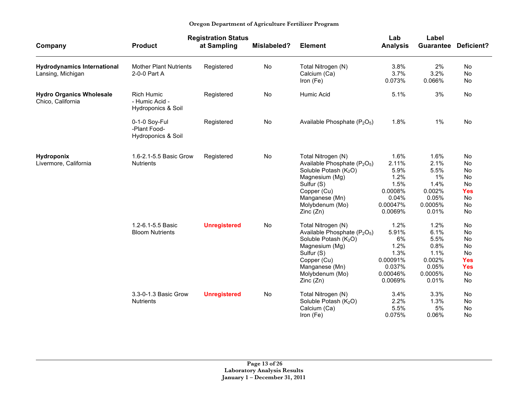|                                                         |                                                           | <b>Registration Status</b> |             |                                                                                                                                                                                                                 | Lab                                                                              | Label                                                                       |                                                                           |
|---------------------------------------------------------|-----------------------------------------------------------|----------------------------|-------------|-----------------------------------------------------------------------------------------------------------------------------------------------------------------------------------------------------------------|----------------------------------------------------------------------------------|-----------------------------------------------------------------------------|---------------------------------------------------------------------------|
| Company                                                 | <b>Product</b>                                            | at Sampling                | Mislabeled? | <b>Element</b>                                                                                                                                                                                                  | <b>Analysis</b>                                                                  | <b>Guarantee</b>                                                            | Deficient?                                                                |
| <b>Hydrodynamics International</b><br>Lansing, Michigan | <b>Mother Plant Nutrients</b><br>2-0-0 Part A             | Registered                 | No          | Total Nitrogen (N)<br>Calcium (Ca)<br>Iron (Fe)                                                                                                                                                                 | 3.8%<br>3.7%<br>0.073%                                                           | 2%<br>3.2%<br>0.066%                                                        | No<br>No<br>No                                                            |
| <b>Hydro Organics Wholesale</b><br>Chico, California    | <b>Rich Humic</b><br>- Humic Acid -<br>Hydroponics & Soil | Registered                 | No          | Humic Acid                                                                                                                                                                                                      | 5.1%                                                                             | 3%                                                                          | No                                                                        |
|                                                         | 0-1-0 Soy-Ful<br>-Plant Food-<br>Hydroponics & Soil       | Registered                 | No          | Available Phosphate (P <sub>2</sub> O <sub>5</sub> )                                                                                                                                                            | 1.8%                                                                             | 1%                                                                          | No                                                                        |
| <b>Hydroponix</b><br>Livermore, California              | 1.6-2.1-5.5 Basic Grow<br><b>Nutrients</b>                | Registered                 | No          | Total Nitrogen (N)<br>Available Phosphate (P <sub>2</sub> O <sub>5</sub> )<br>Soluble Potash (K <sub>2</sub> O)<br>Magnesium (Mg)<br>Sulfur (S)<br>Copper (Cu)<br>Manganese (Mn)<br>Molybdenum (Mo)<br>Zinc(Zn) | 1.6%<br>2.11%<br>5.9%<br>1.2%<br>1.5%<br>0.0008%<br>0.04%<br>0.00047%<br>0.0069% | 1.6%<br>2.1%<br>5.5%<br>1%<br>1.4%<br>0.002%<br>0.05%<br>0.0005%<br>0.01%   | No<br>No<br>No<br>No<br>No<br><b>Yes</b><br>No<br>No<br>No                |
|                                                         | 1.2-6.1-5.5 Basic<br><b>Bloom Nutrients</b>               | <b>Unregistered</b>        | No          | Total Nitrogen (N)<br>Available Phosphate (P <sub>2</sub> O <sub>5</sub> )<br>Soluble Potash (K <sub>2</sub> O)<br>Magnesium (Mg)<br>Sulfur (S)<br>Copper (Cu)<br>Manganese (Mn)<br>Molybdenum (Mo)<br>Zinc(Zn) | 1.2%<br>5.91%<br>6%<br>1.2%<br>1.3%<br>0.00091%<br>0.037%<br>0.00046%<br>0.0069% | 1.2%<br>6.1%<br>5.5%<br>0.8%<br>1.1%<br>0.002%<br>0.05%<br>0.0005%<br>0.01% | No<br>No<br>No<br>No<br><b>No</b><br><b>Yes</b><br><b>Yes</b><br>No<br>No |
|                                                         | 3.3-0-1.3 Basic Grow<br><b>Nutrients</b>                  | <b>Unregistered</b>        | No          | Total Nitrogen (N)<br>Soluble Potash (K <sub>2</sub> O)<br>Calcium (Ca)<br>Iron (Fe)                                                                                                                            | 3.4%<br>2.2%<br>5.5%<br>0.075%                                                   | 3.3%<br>1.3%<br>5%<br>0.06%                                                 | No<br>No<br>No<br>No                                                      |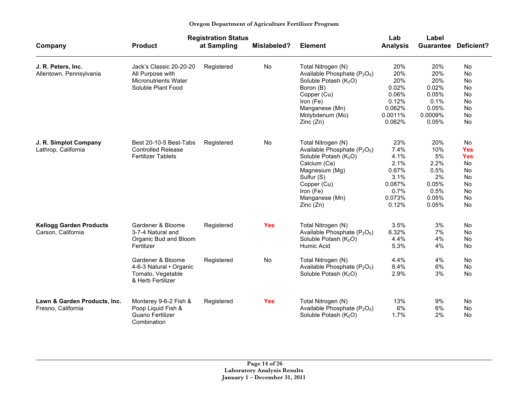| Oregon Department of Agriculture Fertilizer Program |  |
|-----------------------------------------------------|--|
|-----------------------------------------------------|--|

|                                                      |                                                                                                  | <b>Registration Status</b> |                    |                                                                                                                                                                                                                            | Lab                                                                               | Label                                                                     |                                                                          |
|------------------------------------------------------|--------------------------------------------------------------------------------------------------|----------------------------|--------------------|----------------------------------------------------------------------------------------------------------------------------------------------------------------------------------------------------------------------------|-----------------------------------------------------------------------------------|---------------------------------------------------------------------------|--------------------------------------------------------------------------|
| Company                                              | <b>Product</b>                                                                                   | at Sampling                | <b>Mislabeled?</b> | <b>Element</b>                                                                                                                                                                                                             | <b>Analysis</b>                                                                   | Guarantee                                                                 | <b>Deficient?</b>                                                        |
| J. R. Peters, Inc.<br>Allentown, Pennsylvania        | Jack's Classic 20-20-20<br>All Purpose with<br><b>Micronutrients Water</b><br>Soluble Plant Food | Registered                 | No                 | Total Nitrogen (N)<br>Available Phosphate (P <sub>2</sub> O <sub>5</sub> )<br>Soluble Potash (K <sub>2</sub> O)<br>Boron (B)<br>Copper (Cu)<br>Iron (Fe)<br>Manganese (Mn)<br>Molybdenum (Mo)<br>Zinc(Zn)                  | 20%<br>20%<br>20%<br>0.02%<br>0.06%<br>0.12%<br>0.062%<br>0.0011%<br>0.062%       | 20%<br>20%<br>20%<br>0.02%<br>0.05%<br>0.1%<br>0.05%<br>0.0009%<br>0.05%  | No<br>No<br>No<br>No<br>No<br>No<br>No<br>No<br>No                       |
| J. R. Simplot Company<br>Lathrop, California         | Best 20-10-5 Best-Tabs<br><b>Controlled Release</b><br><b>Fertilizer Tablets</b>                 | Registered                 | No                 | Total Nitrogen (N)<br>Available Phosphate (P <sub>2</sub> O <sub>5</sub> )<br>Soluble Potash (K <sub>2</sub> O)<br>Calcium (Ca)<br>Magnesium (Mg)<br>Sulfur (S)<br>Copper (Cu)<br>Iron (Fe)<br>Manganese (Mn)<br>Zinc (Zn) | 23%<br>7.4%<br>4.1%<br>2.1%<br>0.67%<br>3.1%<br>0.087%<br>0.7%<br>0.073%<br>0.12% | 20%<br>10%<br>5%<br>2.2%<br>0.5%<br>2%<br>0.05%<br>0.5%<br>0.05%<br>0.05% | No<br><b>Yes</b><br><b>Yes</b><br>No<br>No<br>No<br>No<br>No<br>No<br>No |
| <b>Kellogg Garden Products</b><br>Carson, California | Gardener & Bloome<br>3-7-4 Natural and<br>Organic Bud and Bloom<br>Fertilizer                    | Registered                 | <b>Yes</b>         | Total Nitrogen (N)<br>Available Phosphate $(P_2O_5)$<br>Soluble Potash (K <sub>2</sub> O)<br>Humic Acid                                                                                                                    | 3.5%<br>6.32%<br>4.4%<br>5.3%                                                     | 3%<br>7%<br>4%<br>4%                                                      | No<br>No<br>No<br>No                                                     |
|                                                      | Gardener & Bloome<br>4-6-3 Natural · Organic<br>Tomato, Vegetable<br>& Herb Fertilizer           | Registered                 | No                 | Total Nitrogen (N)<br>Available Phosphate (P <sub>2</sub> O <sub>5</sub> )<br>Soluble Potash (K <sub>2</sub> O)                                                                                                            | 4.4%<br>8.4%<br>2.9%                                                              | 4%<br>6%<br>3%                                                            | No<br>No<br>No                                                           |
| Lawn & Garden Products, Inc.<br>Fresno, California   | Monterey 9-6-2 Fish &<br>Poop Liquid Fish &<br>Guano Fertilizer<br>Combination                   | Registered                 | <b>Yes</b>         | Total Nitrogen (N)<br>Available Phosphate (P <sub>2</sub> O <sub>5</sub> )<br>Soluble Potash $(K_2O)$                                                                                                                      | 13%<br>6%<br>1.7%                                                                 | 9%<br>6%<br>2%                                                            | No<br>No<br>No                                                           |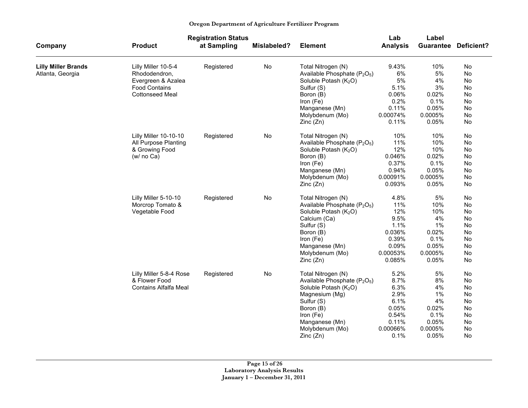|                            |                              | <b>Registration Status</b> |                    |                                                      | Lab             | Label            |            |
|----------------------------|------------------------------|----------------------------|--------------------|------------------------------------------------------|-----------------|------------------|------------|
| Company                    | <b>Product</b>               | at Sampling                | <b>Mislabeled?</b> | <b>Element</b>                                       | <b>Analysis</b> | <b>Guarantee</b> | Deficient? |
| <b>Lilly Miller Brands</b> | Lilly Miller 10-5-4          | Registered                 | No                 | Total Nitrogen (N)                                   | 9.43%           | 10%              | No         |
| Atlanta, Georgia           | Rhododendron,                |                            |                    | Available Phosphate (P <sub>2</sub> O <sub>5</sub> ) | 6%              | 5%               | No         |
|                            | Evergreen & Azalea           |                            |                    | Soluble Potash (K <sub>2</sub> O)                    | 5%              | 4%               | <b>No</b>  |
|                            | <b>Food Contains</b>         |                            |                    | Sulfur (S)                                           | 5.1%            | 3%               | No         |
|                            | <b>Cottonseed Meal</b>       |                            |                    | Boron (B)                                            | 0.06%           | 0.02%            | No         |
|                            |                              |                            |                    | Iron (Fe)                                            | 0.2%            | 0.1%             | No         |
|                            |                              |                            |                    | Manganese (Mn)                                       | 0.11%           | 0.05%            | No         |
|                            |                              |                            |                    | Molybdenum (Mo)                                      | 0.00074%        | 0.0005%          | No         |
|                            |                              |                            |                    | Zinc(Zn)                                             | 0.11%           | 0.05%            | No         |
|                            | Lilly Miller 10-10-10        | Registered                 | No                 | Total Nitrogen (N)                                   | 10%             | 10%              | No         |
|                            | All Purpose Planting         |                            |                    | Available Phosphate (P <sub>2</sub> O <sub>5</sub> ) | 11%             | 10%              | No         |
|                            | & Growing Food               |                            |                    | Soluble Potash (K <sub>2</sub> O)                    | 12%             | 10%              | No         |
|                            | (w/no Ca)                    |                            |                    | Boron (B)                                            | 0.046%          | 0.02%            | No         |
|                            |                              |                            |                    | Iron (Fe)                                            | 0.37%           | 0.1%             | No         |
|                            |                              |                            |                    | Manganese (Mn)                                       | 0.94%           | 0.05%            | <b>No</b>  |
|                            |                              |                            |                    | Molybdenum (Mo)                                      | 0.00091%        | 0.0005%          | No         |
|                            |                              |                            |                    | Zinc(Zn)                                             | 0.093%          | 0.05%            | No         |
|                            | Lilly Miller 5-10-10         | Registered                 | No                 | Total Nitrogen (N)                                   | 4.8%            | 5%               | No         |
|                            | Morcrop Tomato &             |                            |                    | Available Phosphate $(P_2O_5)$                       | 11%             | 10%              | No         |
|                            | Vegetable Food               |                            |                    | Soluble Potash (K <sub>2</sub> O)                    | 12%             | 10%              | No         |
|                            |                              |                            |                    | Calcium (Ca)                                         | 9.5%            | 4%               | No         |
|                            |                              |                            |                    | Sulfur (S)                                           | 1.1%            | 1%               | No         |
|                            |                              |                            |                    | Boron (B)                                            | 0.036%          | 0.02%            | No         |
|                            |                              |                            |                    | Iron (Fe)                                            | 0.39%           | 0.1%             | No         |
|                            |                              |                            |                    | Manganese (Mn)                                       | 0.09%           | 0.05%            | No         |
|                            |                              |                            |                    | Molybdenum (Mo)                                      | 0.00053%        | 0.0005%          | No         |
|                            |                              |                            |                    | Zinc(Zn)                                             | 0.085%          | 0.05%            | No         |
|                            | Lilly Miller 5-8-4 Rose      | Registered                 | No                 | Total Nitrogen (N)                                   | 5.2%            | 5%               | No         |
|                            | & Flower Food                |                            |                    | Available Phosphate (P <sub>2</sub> O <sub>5</sub> ) | 8.7%            | 8%               | No         |
|                            | <b>Contains Alfalfa Meal</b> |                            |                    | Soluble Potash (K <sub>2</sub> O)                    | 6.3%            | 4%               | No         |
|                            |                              |                            |                    | Magnesium (Mg)                                       | 2.9%            | 1%               | No         |
|                            |                              |                            |                    | Sulfur (S)                                           | 6.1%            | 4%               | No         |
|                            |                              |                            |                    | Boron (B)                                            | 0.05%           | 0.02%            | No         |
|                            |                              |                            |                    | Iron (Fe)                                            | 0.54%           | 0.1%             | No         |
|                            |                              |                            |                    | Manganese (Mn)                                       | 0.11%           | 0.05%            | No         |
|                            |                              |                            |                    | Molybdenum (Mo)                                      | 0.00066%        | 0.0005%          | No         |
|                            |                              |                            |                    | Zinc(Zn)                                             | 0.1%            | 0.05%            | <b>No</b>  |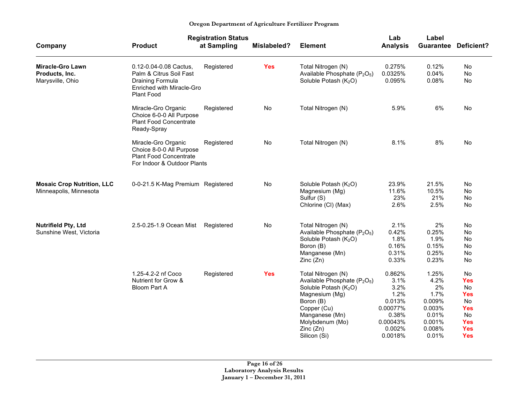|                                                               |                                                                                                                  | <b>Registration Status</b> |             |                                                                                                                                                                                                                                | Lab                                                                                            | Label                                                                                 |                                                                                                                        |
|---------------------------------------------------------------|------------------------------------------------------------------------------------------------------------------|----------------------------|-------------|--------------------------------------------------------------------------------------------------------------------------------------------------------------------------------------------------------------------------------|------------------------------------------------------------------------------------------------|---------------------------------------------------------------------------------------|------------------------------------------------------------------------------------------------------------------------|
| Company                                                       | <b>Product</b>                                                                                                   | at Sampling                | Mislabeled? | <b>Element</b>                                                                                                                                                                                                                 | <b>Analysis</b>                                                                                | <b>Guarantee</b>                                                                      | Deficient?                                                                                                             |
| <b>Miracle-Gro Lawn</b><br>Products, Inc.<br>Marysville, Ohio | 0.12-0.04-0.08 Cactus,<br>Palm & Citrus Soil Fast<br>Draining Formula<br>Enriched with Miracle-Gro<br>Plant Food | Registered                 | <b>Yes</b>  | Total Nitrogen (N)<br>Available Phosphate (P <sub>2</sub> O <sub>5</sub> )<br>Soluble Potash (K <sub>2</sub> O)                                                                                                                | 0.275%<br>0.0325%<br>0.095%                                                                    | 0.12%<br>0.04%<br>0.08%                                                               | No<br>No<br>No                                                                                                         |
|                                                               | Miracle-Gro Organic<br>Choice 6-0-0 All Purpose<br><b>Plant Food Concentrate</b><br>Ready-Spray                  | Registered                 | No          | Total Nitrogen (N)                                                                                                                                                                                                             | 5.9%                                                                                           | 6%                                                                                    | <b>No</b>                                                                                                              |
|                                                               | Miracle-Gro Organic<br>Choice 8-0-0 All Purpose<br><b>Plant Food Concentrate</b><br>For Indoor & Outdoor Plants  | Registered                 | No          | Total Nitrogen (N)                                                                                                                                                                                                             | 8.1%                                                                                           | 8%                                                                                    | No                                                                                                                     |
| <b>Mosaic Crop Nutrition, LLC</b><br>Minneapolis, Minnesota   | 0-0-21.5 K-Mag Premium Registered                                                                                |                            | No          | Soluble Potash (K <sub>2</sub> O)<br>Magnesium (Mg)<br>Sulfur (S)<br>Chlorine (CI) (Max)                                                                                                                                       | 23.9%<br>11.6%<br>23%<br>2.6%                                                                  | 21.5%<br>10.5%<br>21%<br>2.5%                                                         | No<br>No<br>No<br><b>No</b>                                                                                            |
| <b>Nutrifield Pty, Ltd</b><br>Sunshine West, Victoria         | 2.5-0.25-1.9 Ocean Mist                                                                                          | Registered                 | No          | Total Nitrogen (N)<br>Available Phosphate (P <sub>2</sub> O <sub>5</sub> )<br>Soluble Potash (K <sub>2</sub> O)<br>Boron (B)<br>Manganese (Mn)<br>Zinc(Zn)                                                                     | 2.1%<br>0.42%<br>1.8%<br>0.16%<br>0.31%<br>0.33%                                               | 2%<br>0.25%<br>1.9%<br>0.15%<br>0.25%<br>0.23%                                        | No<br>No<br>No.<br>No<br><b>No</b><br>No                                                                               |
|                                                               | 1.25-4.2-2 nf Coco<br>Nutrient for Grow &<br>Bloom Part A                                                        | Registered                 | <b>Yes</b>  | Total Nitrogen (N)<br>Available Phosphate (P <sub>2</sub> O <sub>5</sub> )<br>Soluble Potash (K <sub>2</sub> O)<br>Magnesium (Mg)<br>Boron (B)<br>Copper (Cu)<br>Manganese (Mn)<br>Molybdenum (Mo)<br>Zinc(Zn)<br>Silicon (Si) | 0.862%<br>3.1%<br>3.2%<br>1.2%<br>0.013%<br>0.00077%<br>0.38%<br>0.00043%<br>0.002%<br>0.0018% | 1.25%<br>4.2%<br>2%<br>1.7%<br>0.009%<br>0.003%<br>0.01%<br>0.001%<br>0.008%<br>0.01% | <b>No</b><br><b>Yes</b><br>No<br><b>Yes</b><br><b>No</b><br><b>Yes</b><br>No<br><b>Yes</b><br><b>Yes</b><br><b>Yes</b> |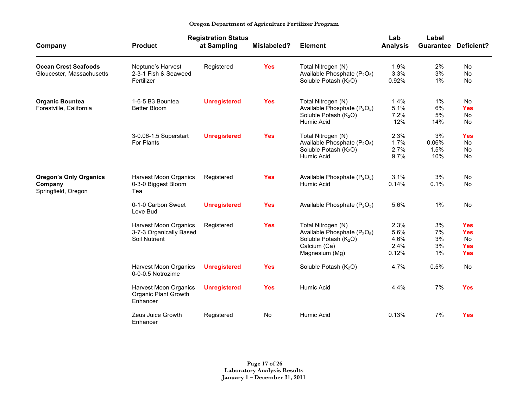|                                                                 |                                                                   | <b>Registration Status</b> |             |                                                                                                                                                   | Lab                                   | Label                      |                                                                   |
|-----------------------------------------------------------------|-------------------------------------------------------------------|----------------------------|-------------|---------------------------------------------------------------------------------------------------------------------------------------------------|---------------------------------------|----------------------------|-------------------------------------------------------------------|
| Company                                                         | <b>Product</b>                                                    | at Sampling                | Mislabeled? | <b>Element</b>                                                                                                                                    | <b>Analysis</b>                       | <b>Guarantee</b>           | <b>Deficient?</b>                                                 |
| <b>Ocean Crest Seafoods</b><br>Gloucester, Massachusetts        | Neptune's Harvest<br>2-3-1 Fish & Seaweed<br>Fertilizer           | Registered                 | <b>Yes</b>  | Total Nitrogen (N)<br>Available Phosphate (P <sub>2</sub> O <sub>5</sub> )<br>Soluble Potash (K <sub>2</sub> O)                                   | 1.9%<br>3.3%<br>0.92%                 | 2%<br>3%<br>1%             | No<br>No<br>No                                                    |
| <b>Organic Bountea</b><br>Forestville, California               | 1-6-5 B3 Bountea<br><b>Better Bloom</b>                           | <b>Unregistered</b>        | <b>Yes</b>  | Total Nitrogen (N)<br>Available Phosphate (P <sub>2</sub> O <sub>5</sub> )<br>Soluble Potash (K <sub>2</sub> O)<br>Humic Acid                     | 1.4%<br>5.1%<br>7.2%<br>12%           | 1%<br>6%<br>5%<br>14%      | <b>No</b><br><b>Yes</b><br>No<br>No                               |
|                                                                 | 3-0.06-1.5 Superstart<br>For Plants                               | <b>Unregistered</b>        | <b>Yes</b>  | Total Nitrogen (N)<br>Available Phosphate (P <sub>2</sub> O <sub>5</sub> )<br>Soluble Potash (K <sub>2</sub> O)<br>Humic Acid                     | 2.3%<br>1.7%<br>2.7%<br>9.7%          | 3%<br>0.06%<br>1.5%<br>10% | <b>Yes</b><br><b>No</b><br><b>No</b><br>No                        |
| <b>Oregon's Only Organics</b><br>Company<br>Springfield, Oregon | <b>Harvest Moon Organics</b><br>0-3-0 Biggest Bloom<br>Tea        | Registered                 | <b>Yes</b>  | Available Phosphate (P <sub>2</sub> O <sub>5</sub> )<br>Humic Acid                                                                                | 3.1%<br>0.14%                         | 3%<br>0.1%                 | No<br><b>No</b>                                                   |
|                                                                 | 0-1-0 Carbon Sweet<br>Love Bud                                    | <b>Unregistered</b>        | <b>Yes</b>  | Available Phosphate (P <sub>2</sub> O <sub>5</sub> )                                                                                              | 5.6%                                  | 1%                         | No                                                                |
|                                                                 | Harvest Moon Organics<br>3-7-3 Organically Based<br>Soil Nutrient | Registered                 | <b>Yes</b>  | Total Nitrogen (N)<br>Available Phosphate (P <sub>2</sub> O <sub>5</sub> )<br>Soluble Potash (K <sub>2</sub> O)<br>Calcium (Ca)<br>Magnesium (Mg) | 2.3%<br>5.6%<br>4.6%<br>2.4%<br>0.12% | 3%<br>7%<br>3%<br>3%<br>1% | <b>Yes</b><br><b>Yes</b><br><b>No</b><br><b>Yes</b><br><b>Yes</b> |
|                                                                 | <b>Harvest Moon Organics</b><br>0-0-0.5 Notrozime                 | <b>Unregistered</b>        | <b>Yes</b>  | Soluble Potash (K <sub>2</sub> O)                                                                                                                 | 4.7%                                  | 0.5%                       | <b>No</b>                                                         |
|                                                                 | <b>Harvest Moon Organics</b><br>Organic Plant Growth<br>Enhancer  | <b>Unregistered</b>        | <b>Yes</b>  | Humic Acid                                                                                                                                        | 4.4%                                  | 7%                         | <b>Yes</b>                                                        |
|                                                                 | Zeus Juice Growth<br>Enhancer                                     | Registered                 | <b>No</b>   | Humic Acid                                                                                                                                        | 0.13%                                 | 7%                         | <b>Yes</b>                                                        |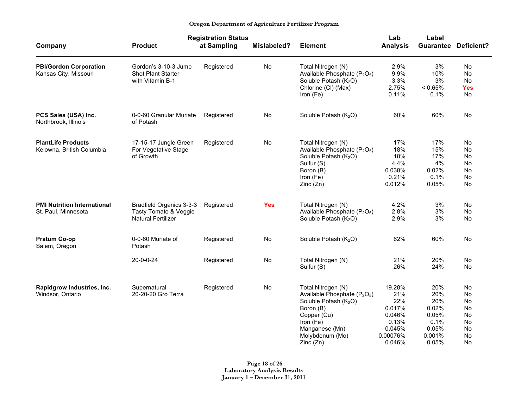|                                                           | <b>Registration Status</b>                                                     |             |             |                                                                                                                                                                                                           | Lab                                                                               | Label                                                                   |                                                    |
|-----------------------------------------------------------|--------------------------------------------------------------------------------|-------------|-------------|-----------------------------------------------------------------------------------------------------------------------------------------------------------------------------------------------------------|-----------------------------------------------------------------------------------|-------------------------------------------------------------------------|----------------------------------------------------|
| Company                                                   | <b>Product</b>                                                                 | at Sampling | Mislabeled? | <b>Element</b>                                                                                                                                                                                            | <b>Analysis</b>                                                                   |                                                                         | <b>Guarantee Deficient?</b>                        |
| <b>PBI/Gordon Corporation</b><br>Kansas City, Missouri    | Gordon's 3-10-3 Jump<br>Shot Plant Starter<br>with Vitamin B-1                 | Registered  | No          | Total Nitrogen (N)<br>Available Phosphate (P <sub>2</sub> O <sub>5</sub> )<br>Soluble Potash (K <sub>2</sub> O)<br>Chlorine (CI) (Max)<br>Iron (Fe)                                                       | 2.9%<br>9.9%<br>3.3%<br>2.75%<br>0.11%                                            | 3%<br>10%<br>3%<br>< 0.65%<br>0.1%                                      | No<br>No<br>No<br>Yes<br>No                        |
| PCS Sales (USA) Inc.<br>Northbrook, Illinois              | 0-0-60 Granular Muriate<br>of Potash                                           | Registered  | No          | Soluble Potash $(K_2O)$                                                                                                                                                                                   | 60%                                                                               | 60%                                                                     | No                                                 |
| <b>PlantLife Products</b><br>Kelowna, British Columbia    | 17-15-17 Jungle Green<br>For Vegetative Stage<br>of Growth                     | Registered  | No          | Total Nitrogen (N)<br>Available Phosphate (P <sub>2</sub> O <sub>5</sub> )<br>Soluble Potash (K <sub>2</sub> O)<br>Sulfur (S)<br>Boron (B)<br>Iron (Fe)<br>Zinc(Zn)                                       | 17%<br>18%<br>18%<br>4.4%<br>0.038%<br>0.21%<br>0.012%                            | 17%<br>15%<br>17%<br>4%<br>0.02%<br>0.1%<br>0.05%                       | No.<br>No<br>No<br>No<br>No<br>No<br>No            |
| <b>PMI Nutrition International</b><br>St. Paul, Minnesota | Bradfield Organics 3-3-3<br>Tasty Tomato & Veggie<br><b>Natural Fertilizer</b> | Registered  | <b>Yes</b>  | Total Nitrogen (N)<br>Available Phosphate (P <sub>2</sub> O <sub>5</sub> )<br>Soluble Potash $(K_2O)$                                                                                                     | 4.2%<br>2.8%<br>2.9%                                                              | 3%<br>3%<br>3%                                                          | No<br>No<br>No                                     |
| Pratum Co-op<br>Salem, Oregon                             | 0-0-60 Muriate of<br>Potash                                                    | Registered  | No          | Soluble Potash (K <sub>2</sub> O)                                                                                                                                                                         | 62%                                                                               | 60%                                                                     | No                                                 |
|                                                           | $20 - 0 - 0 - 24$                                                              | Registered  | No          | Total Nitrogen (N)<br>Sulfur (S)                                                                                                                                                                          | 21%<br>26%                                                                        | 20%<br>24%                                                              | No.<br>No                                          |
| Rapidgrow Industries, Inc.<br>Windsor, Ontario            | Supernatural<br>20-20-20 Gro Terra                                             | Registered  | No          | Total Nitrogen (N)<br>Available Phosphate (P <sub>2</sub> O <sub>5</sub> )<br>Soluble Potash (K <sub>2</sub> O)<br>Boron (B)<br>Copper (Cu)<br>Iron (Fe)<br>Manganese (Mn)<br>Molybdenum (Mo)<br>Zinc(Zn) | 19.28%<br>21%<br>22%<br>0.017%<br>0.046%<br>0.13%<br>0.045%<br>0.00076%<br>0.046% | 20%<br>20%<br>20%<br>0.02%<br>0.05%<br>0.1%<br>0.05%<br>0.001%<br>0.05% | No<br>No<br>No<br>No<br>No<br>No<br>No<br>No<br>No |

**Page 18 of 26 Laboratory Analysis Results January 1 – December 31, 2011**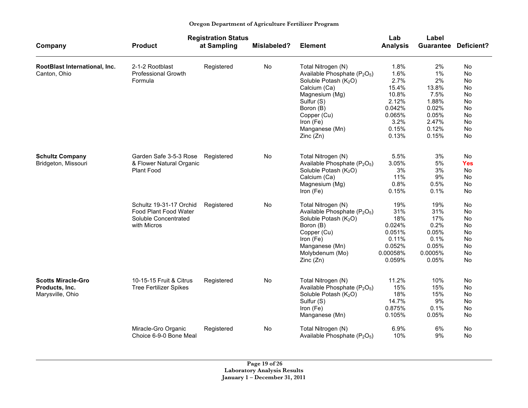|                               |                               | <b>Registration Status</b> |             |                                                      | Lab             | Label     |                |
|-------------------------------|-------------------------------|----------------------------|-------------|------------------------------------------------------|-----------------|-----------|----------------|
| Company                       | <b>Product</b>                | at Sampling                | Mislabeled? | <b>Element</b>                                       | <b>Analysis</b> | Guarantee | Deficient?     |
| RootBlast International, Inc. | 2-1-2 Rootblast               | Registered                 | No          | Total Nitrogen (N)                                   | 1.8%            | 2%        | No.            |
| Canton, Ohio                  | Professional Growth           |                            |             | Available Phosphate (P <sub>2</sub> O <sub>5</sub> ) | 1.6%            | 1%        | No             |
|                               | Formula                       |                            |             | Soluble Potash (K <sub>2</sub> O)                    | 2.7%            | 2%        | <b>No</b>      |
|                               |                               |                            |             | Calcium (Ca)                                         | 15.4%           | 13.8%     | <b>No</b>      |
|                               |                               |                            |             | Magnesium (Mg)                                       | 10.8%           | 7.5%      | No             |
|                               |                               |                            |             | Sulfur (S)                                           | 2.12%           | 1.88%     | <b>No</b>      |
|                               |                               |                            |             | Boron (B)                                            | 0.042%          | 0.02%     | <b>No</b>      |
|                               |                               |                            |             | Copper (Cu)                                          | 0.065%          | 0.05%     | No             |
|                               |                               |                            |             | Iron (Fe)                                            | 3.2%            | 2.47%     | N <sub>0</sub> |
|                               |                               |                            |             | Manganese (Mn)                                       | 0.15%           | 0.12%     | <b>No</b>      |
|                               |                               |                            |             | Zinc(Zn)                                             | 0.13%           | 0.15%     | No             |
| <b>Schultz Company</b>        | Garden Safe 3-5-3 Rose        | Registered                 | No          | Total Nitrogen (N)                                   | 5.5%            | 3%        | No             |
| Bridgeton, Missouri           | & Flower Natural Organic      |                            |             | Available Phosphate (P <sub>2</sub> O <sub>5</sub> ) | 3.05%           | 5%        | <b>Yes</b>     |
|                               | Plant Food                    |                            |             | Soluble Potash (K <sub>2</sub> O)                    | 3%              | 3%        | No.            |
|                               |                               |                            |             | Calcium (Ca)                                         | 11%             | 9%        | No             |
|                               |                               |                            |             | Magnesium (Mg)                                       | 0.8%            | 0.5%      | <b>No</b>      |
|                               |                               |                            |             | Iron (Fe)                                            | 0.15%           | 0.1%      | <b>No</b>      |
|                               | Schultz 19-31-17 Orchid       | Registered                 | <b>No</b>   | Total Nitrogen (N)                                   | 19%             | 19%       | <b>No</b>      |
|                               | Food Plant Food Water         |                            |             | Available Phosphate $(P_2O_5)$                       | 31%             | 31%       | <b>No</b>      |
|                               | Soluble Concentrated          |                            |             | Soluble Potash (K <sub>2</sub> O)                    | 18%             | 17%       | No             |
|                               | with Micros                   |                            |             | Boron (B)                                            | 0.024%          | 0.2%      | <b>No</b>      |
|                               |                               |                            |             | Copper (Cu)                                          | 0.051%          | 0.05%     | <b>No</b>      |
|                               |                               |                            |             | Iron (Fe)                                            | 0.11%           | 0.1%      | <b>No</b>      |
|                               |                               |                            |             | Manganese (Mn)                                       | 0.052%          | 0.05%     | <b>No</b>      |
|                               |                               |                            |             | Molybdenum (Mo)                                      | 0.00058%        | 0.0005%   | <b>No</b>      |
|                               |                               |                            |             | Zinc(Zn)                                             | 0.059%          | 0.05%     | No             |
| <b>Scotts Miracle-Gro</b>     | 10-15-15 Fruit & Citrus       | Registered                 | No          | Total Nitrogen (N)                                   | 11.2%           | 10%       | No             |
| Products, Inc.                | <b>Tree Fertilizer Spikes</b> |                            |             | Available Phosphate (P <sub>2</sub> O <sub>5</sub> ) | 15%             | 15%       | No             |
| Marysville, Ohio              |                               |                            |             | Soluble Potash (K <sub>2</sub> O)                    | 18%             | 15%       | No.            |
|                               |                               |                            |             | Sulfur (S)                                           | 14.7%           | 9%        | No             |
|                               |                               |                            |             | Iron (Fe)                                            | 0.875%          | 0.1%      | No             |
|                               |                               |                            |             | Manganese (Mn)                                       | 0.105%          | 0.05%     | <b>No</b>      |
|                               | Miracle-Gro Organic           | Registered                 | No          | Total Nitrogen (N)                                   | 6.9%            | 6%        | No             |
|                               | Choice 6-9-0 Bone Meal        |                            |             | Available Phosphate $(P_2O_5)$                       | 10%             | 9%        | No.            |

**Page 19 of 26 Laboratory Analysis Results January 1 – December 31, 2011**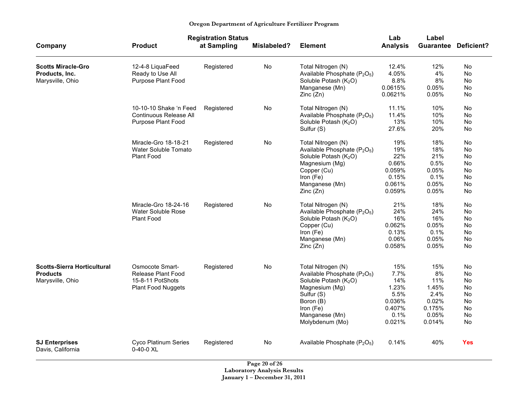|  | Oregon Department of Agriculture Fertilizer Program |  |
|--|-----------------------------------------------------|--|
|  |                                                     |  |

|                                                                 |                                                            | <b>Registration Status</b> |             |                                                                                                                 | Lab                       | Label                   |                             |
|-----------------------------------------------------------------|------------------------------------------------------------|----------------------------|-------------|-----------------------------------------------------------------------------------------------------------------|---------------------------|-------------------------|-----------------------------|
| Company                                                         | <b>Product</b>                                             | at Sampling                | Mislabeled? | <b>Element</b>                                                                                                  | <b>Analysis</b>           |                         | <b>Guarantee Deficient?</b> |
| <b>Scotts Miracle-Gro</b><br>Products, Inc.<br>Marysville, Ohio | 12-4-8 LiquaFeed<br>Ready to Use All<br>Purpose Plant Food | Registered                 | No          | Total Nitrogen (N)<br>Available Phosphate (P <sub>2</sub> O <sub>5</sub> )<br>Soluble Potash (K <sub>2</sub> O) | 12.4%<br>4.05%<br>8.8%    | 12%<br>4%<br>8%         | No<br>No<br>No              |
|                                                                 |                                                            |                            |             | Manganese (Mn)<br>Zinc(Zn)                                                                                      | 0.0615%<br>0.0621%        | 0.05%<br>0.05%          | No<br>No                    |
|                                                                 | 10-10-10 Shake 'n Feed<br>Continuous Release All           | Registered                 | No          | Total Nitrogen (N)<br>Available Phosphate (P <sub>2</sub> O <sub>5</sub> )                                      | 11.1%<br>11.4%            | 10%<br>10%              | No<br>No                    |
|                                                                 | Purpose Plant Food                                         |                            |             | Soluble Potash (K <sub>2</sub> O)<br>Sulfur (S)                                                                 | 13%<br>27.6%              | 10%<br>20%              | No<br>No                    |
|                                                                 | Miracle-Gro 18-18-21<br>Water Soluble Tomato               | Registered                 | No          | Total Nitrogen (N)<br>Available Phosphate (P <sub>2</sub> O <sub>5</sub> )                                      | 19%<br>19%                | 18%<br>18%              | No<br>No                    |
|                                                                 | <b>Plant Food</b>                                          |                            |             | Soluble Potash (K <sub>2</sub> O)<br>Magnesium (Mg)                                                             | 22%<br>0.66%              | 21%<br>0.5%             | No<br>No                    |
|                                                                 |                                                            |                            |             | Copper (Cu)<br>Iron (Fe)<br>Manganese (Mn)                                                                      | 0.059%<br>0.15%<br>0.061% | 0.05%<br>0.1%<br>0.05%  | No<br>No<br>No              |
|                                                                 |                                                            |                            |             | Zinc(Zn)                                                                                                        | 0.059%                    | 0.05%                   | <b>No</b>                   |
|                                                                 | Miracle-Gro 18-24-16<br>Water Soluble Rose                 | Registered                 | No          | Total Nitrogen (N)<br>Available Phosphate (P <sub>2</sub> O <sub>5</sub> )                                      | 21%<br>24%                | 18%<br>24%              | No<br>No                    |
|                                                                 | <b>Plant Food</b>                                          |                            |             | Soluble Potash (K <sub>2</sub> O)<br>Copper (Cu)                                                                | 16%<br>0.062%             | 16%<br>0.05%<br>0.1%    | No<br><b>No</b><br>No       |
|                                                                 |                                                            |                            |             | Iron (Fe)<br>Manganese (Mn)<br>Zinc (Zn)                                                                        | 0.13%<br>0.06%<br>0.058%  | 0.05%<br>0.05%          | <b>No</b><br>No             |
| <b>Scotts-Sierra Horticultural</b><br><b>Products</b>           | Osmocote Smart-<br><b>Release Plant Food</b>               | Registered                 | No          | Total Nitrogen (N)<br>Available Phosphate (P <sub>2</sub> O <sub>5</sub> )                                      | 15%<br>7.7%               | 15%<br>8%               | No<br>No                    |
| Marysville, Ohio                                                | 15-8-11 PotShots<br>Plant Food Nuggets                     |                            |             | Soluble Potash (K <sub>2</sub> O)<br>Magnesium (Mg)                                                             | 14%<br>1.23%              | 11%<br>1.45%            | No<br>No                    |
|                                                                 |                                                            |                            |             | Sulfur (S)<br>Boron (B)<br>Iron (Fe)                                                                            | 5.5%<br>0.036%<br>0.407%  | 2.4%<br>0.02%<br>0.175% | No<br><b>No</b><br>No       |
|                                                                 |                                                            |                            |             | Manganese (Mn)<br>Molybdenum (Mo)                                                                               | 0.1%<br>0.021%            | 0.05%<br>0.014%         | No<br>No                    |
| <b>SJ Enterprises</b><br>Davis, California                      | <b>Cyco Platinum Series</b><br>$0 - 40 - 0$ XL             | Registered                 | No          | Available Phosphate (P <sub>2</sub> O <sub>5</sub> )                                                            | 0.14%                     | 40%                     | <b>Yes</b>                  |

**Page 20 of 26 Laboratory Analysis Results January 1 – December 31, 2011**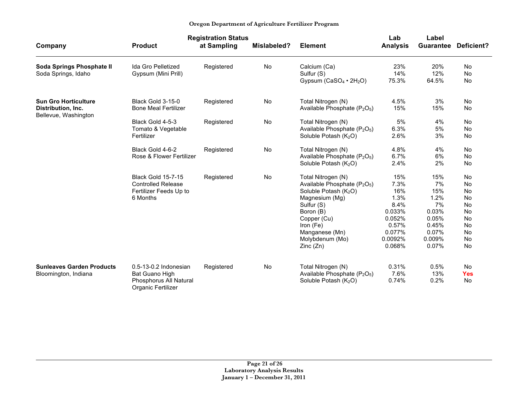|                                                                           | <b>Registration Status</b>                                                                    |             |             |                                                                                                                                                                                                           | Lab                                                                                            | Label                                                                                 |                                                                |
|---------------------------------------------------------------------------|-----------------------------------------------------------------------------------------------|-------------|-------------|-----------------------------------------------------------------------------------------------------------------------------------------------------------------------------------------------------------|------------------------------------------------------------------------------------------------|---------------------------------------------------------------------------------------|----------------------------------------------------------------|
| Company                                                                   | <b>Product</b>                                                                                | at Sampling | Mislabeled? | <b>Element</b>                                                                                                                                                                                            | <b>Analysis</b>                                                                                | <b>Guarantee</b>                                                                      | <b>Deficient?</b>                                              |
| Soda Springs Phosphate II<br>Soda Springs, Idaho                          | <b>Ida Gro Pelletized</b><br>Gypsum (Mini Prill)                                              | Registered  | No          | Calcium (Ca)<br>Sulfur (S)<br>Gypsum $(CaSO_4 \cdot 2H_2O)$                                                                                                                                               | 23%<br>14%<br>75.3%                                                                            | 20%<br>12%<br>64.5%                                                                   | No<br>No<br>No                                                 |
| <b>Sun Gro Horticulture</b><br>Distribution, Inc.<br>Bellevue, Washington | Black Gold 3-15-0<br><b>Bone Meal Fertilizer</b>                                              | Registered  | No          | Total Nitrogen (N)<br>Available Phosphate (P <sub>2</sub> O <sub>5</sub> )                                                                                                                                | 4.5%<br>15%                                                                                    | 3%<br>15%                                                                             | No<br>No                                                       |
|                                                                           | Black Gold 4-5-3<br>Tomato & Vegetable<br>Fertilizer                                          | Registered  | No          | Total Nitrogen (N)<br>Available Phosphate (P <sub>2</sub> O <sub>5</sub> )<br>Soluble Potash $(K_2O)$                                                                                                     | 5%<br>6.3%<br>2.6%                                                                             | 4%<br>5%<br>3%                                                                        | No<br>No<br>No                                                 |
|                                                                           | Black Gold 4-6-2<br>Rose & Flower Fertilizer                                                  | Registered  | No          | Total Nitrogen (N)<br>Available Phosphate (P <sub>2</sub> O <sub>5</sub> )<br>Soluble Potash $(K_2O)$                                                                                                     | 4.8%<br>6.7%<br>2.4%                                                                           | 4%<br>6%<br>2%                                                                        | No<br>No<br>No                                                 |
|                                                                           | <b>Black Gold 15-7-15</b><br><b>Controlled Release</b><br>Fertilizer Feeds Up to<br>6 Months  | Registered  | No          | Total Nitrogen (N)<br>Available Phosphate $(P_2O_5)$<br>Soluble Potash $(K_2O)$<br>Magnesium (Mg)<br>Sulfur (S)<br>Boron (B)<br>Copper (Cu)<br>Iron (Fe)<br>Manganese (Mn)<br>Molybdenum (Mo)<br>Zinc(Zn) | 15%<br>7.3%<br>16%<br>1.3%<br>8.4%<br>0.033%<br>0.052%<br>0.57%<br>0.077%<br>0.0092%<br>0.068% | 15%<br>7%<br>15%<br>1.2%<br>7%<br>0.03%<br>0.05%<br>0.45%<br>0.07%<br>0.009%<br>0.07% | No<br>No<br>No<br>No<br>No<br>No<br>No<br>No<br>No<br>No<br>No |
| <b>Sunleaves Garden Products</b><br>Bloomington, Indiana                  | $0.5 - 13 - 0.2$ Indonesian<br>Bat Guano High<br>Phosphorus All Natural<br>Organic Fertilizer | Registered  | No          | Total Nitrogen (N)<br>Available Phosphate (P <sub>2</sub> O <sub>5</sub> )<br>Soluble Potash (K <sub>2</sub> O)                                                                                           | 0.31%<br>7.6%<br>0.74%                                                                         | 0.5%<br>13%<br>0.2%                                                                   | No<br><b>Yes</b><br>No                                         |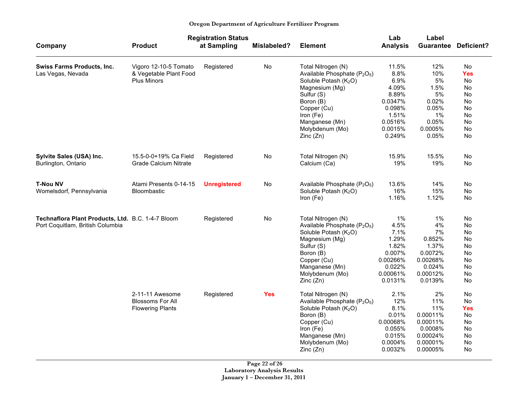### **Registration Status Lab Label Company Product at Sampling Mislabeled? Element Analysis Guarantee Deficient? Swiss Farms Products, Inc.** Vigoro 12-10-5 Tomato Registered No Total Nitrogen (N) 11.5% 12% No Las Vegas, Nevada & Vegetable Plant Food Available Phosphate (P2O5) 8.8% 10% **Yes** Plus Minors **Soluble Potash (K<sub>2</sub>O)** 6.9% 5% No Magnesium (Mg) 4.09% 1.5% No Sulfur (S) 8.89% 5% No Boron (B)  $0.0347\%$  0.02% No Copper (Cu) 0.098% 0.05% No Iron (Fe) 1.51% 1% No Manganese (Mn)  $0.0516\%$  0.05% No Molybdenum (Mo) 0.0015% 0.0005% No Zinc (Zn) 0.249% 0.05% No **Sylvite Sales (USA) Inc.**  $15.5-0-0+19\%$  Ca Field Registered No Total Nitrogen (N) 15.9% 15.5% No Burlington, Ontario **Calcium Grade Calcium Nitrate** Cancel Calcium (Ca) **Calcium (Ca)** 19% 19% No **T-Nou NV Atami Presents 0-14-15 Unregistered** No Available Phosphate (P<sub>2</sub>O<sub>5</sub>) 13.6% 14% No Womelsdorf, Pennsylvania Bloombastic Bloombastic Soluble Potash (K<sub>2</sub>O) 16% 15% No<br>Iron (Fe) 1.16% 1.12% No Iron (Fe) 1.16% 1.12% No **Technaflora Plant Products, Ltd.** B.C. 1-4-7 Bloom Registered No Total Nitrogen (N) 1% 1% No Port Coquitlam, British Columbia **Notable Port Concernsive Community** Available Phosphate (P<sub>2</sub>O<sub>5</sub>) 4.5% 4% Noticed<br>
Soluble Potash (K<sub>2</sub>O) 7.1% 7% No Soluble Potash  $(K_2O)$  7.1% 7% No Magnesium (Mg)  $1.29\%$  0.852% No Sulfur (S) 1.82% 1.37% No Boron (B) 0.007% 0.0072% No Copper (Cu) 0.00266% 0.00268% No Manganese (Mn)  $0.022\%$  0.024% No Molybdenum (Mo) 0.00061% 0.00012% No Zinc (Zn) 0.0131% 0.0139% No 2-11-11 Awesome Registered **Yes** Total Nitrogen (N) 2.1% 2% No Blossoms For All Available Phosphate (P2O5) 12% 11% No Flowering Plants Soluble Potash (K2O) 8.1% 11% **Yes** Boron (B)  $0.01\%$  0.00011% No Copper (Cu) 0.00068% 0.00011% No Iron (Fe) 0.055% 0.0008% No Manganese (Mn)  $0.015\%$  0.00024% No Molybdenum (Mo) 0.0004% 0.00001% No Zinc (Zn) 0.0032% 0.00005% No

**Oregon Department of Agriculture Fertilizer Program**

**Page 22 of 26 Laboratory Analysis Results January 1 – December 31, 2011**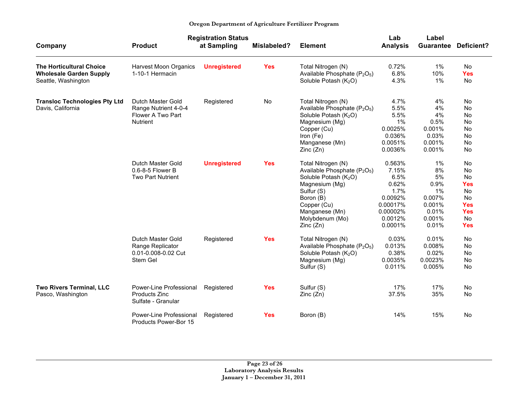|                                                                                          | <b>Registration Status</b>                                                        |                     |             |                                                                                                                                                                                                                              | Lab                                                                                               | Label                                                                           |                                                                                                               |
|------------------------------------------------------------------------------------------|-----------------------------------------------------------------------------------|---------------------|-------------|------------------------------------------------------------------------------------------------------------------------------------------------------------------------------------------------------------------------------|---------------------------------------------------------------------------------------------------|---------------------------------------------------------------------------------|---------------------------------------------------------------------------------------------------------------|
| Company                                                                                  | <b>Product</b>                                                                    | at Sampling         | Mislabeled? | <b>Element</b>                                                                                                                                                                                                               | <b>Analysis</b>                                                                                   | <b>Guarantee</b>                                                                | Deficient?                                                                                                    |
| <b>The Horticultural Choice</b><br><b>Wholesale Garden Supply</b><br>Seattle, Washington | <b>Harvest Moon Organics</b><br>1-10-1 Hermacin                                   | <b>Unregistered</b> | <b>Yes</b>  | Total Nitrogen (N)<br>Available Phosphate (P <sub>2</sub> O <sub>5</sub> )<br>Soluble Potash (K <sub>2</sub> O)                                                                                                              | 0.72%<br>6.8%<br>4.3%                                                                             | 1%<br>10%<br>1%                                                                 | <b>No</b><br><b>Yes</b><br>No                                                                                 |
| <b>Transloc Technologies Pty Ltd</b><br>Davis, California                                | Dutch Master Gold<br>Range Nutrient 4-0-4<br>Flower A Two Part<br><b>Nutrient</b> | Registered          | No          | Total Nitrogen (N)<br>Available Phosphate (P <sub>2</sub> O <sub>5</sub> )<br>Soluble Potash $(K_2O)$<br>Magnesium (Mg)<br>Copper (Cu)<br>Iron (Fe)<br>Manganese (Mn)<br>Zinc(Zn)                                            | 4.7%<br>5.5%<br>5.5%<br>1%<br>0.0025%<br>0.036%<br>0.0051%<br>0.0036%                             | 4%<br>4%<br>4%<br>0.5%<br>0.001%<br>0.03%<br>0.001%<br>0.001%                   | No<br>No<br><b>No</b><br>No<br><b>No</b><br><b>No</b><br>No<br><b>No</b>                                      |
|                                                                                          | Dutch Master Gold<br>0.6-8-5 Flower B<br>Two Part Nutrient                        | <b>Unregistered</b> | <b>Yes</b>  | Total Nitrogen (N)<br>Available Phosphate (P <sub>2</sub> O <sub>5</sub> )<br>Soluble Potash (K <sub>2</sub> O)<br>Magnesium (Mg)<br>Sulfur (S)<br>Boron (B)<br>Copper (Cu)<br>Manganese (Mn)<br>Molybdenum (Mo)<br>Zinc(Zn) | 0.563%<br>7.15%<br>6.5%<br>0.62%<br>1.7%<br>0.0092%<br>0.00017%<br>0.00002%<br>0.0012%<br>0.0001% | $1\%$<br>8%<br>5%<br>0.9%<br>1%<br>0.007%<br>0.001%<br>0.01%<br>0.001%<br>0.01% | No<br><b>No</b><br><b>No</b><br><b>Yes</b><br><b>No</b><br>No<br><b>Yes</b><br><b>Yes</b><br>No<br><b>Yes</b> |
|                                                                                          | Dutch Master Gold<br>Range Replicator<br>0.01-0.008-0.02 Cut<br>Stem Gel          | Registered          | <b>Yes</b>  | Total Nitrogen (N)<br>Available Phosphate (P <sub>2</sub> O <sub>5</sub> )<br>Soluble Potash (K <sub>2</sub> O)<br>Magnesium (Mg)<br>Sulfur (S)                                                                              | 0.03%<br>0.013%<br>0.38%<br>0.0035%<br>0.011%                                                     | 0.01%<br>0.008%<br>0.02%<br>0.0023%<br>0.005%                                   | No<br><b>No</b><br><b>No</b><br>No<br>No                                                                      |
| Two Rivers Terminal, LLC<br>Pasco, Washington                                            | Power-Line Professional<br>Products Zinc<br>Sulfate - Granular                    | Registered          | <b>Yes</b>  | Sulfur (S)<br>Zinc(Zn)                                                                                                                                                                                                       | 17%<br>37.5%                                                                                      | 17%<br>35%                                                                      | No<br>No                                                                                                      |
|                                                                                          | Power-Line Professional<br>Products Power-Bor 15                                  | Registered          | <b>Yes</b>  | Boron (B)                                                                                                                                                                                                                    | 14%                                                                                               | 15%                                                                             | No                                                                                                            |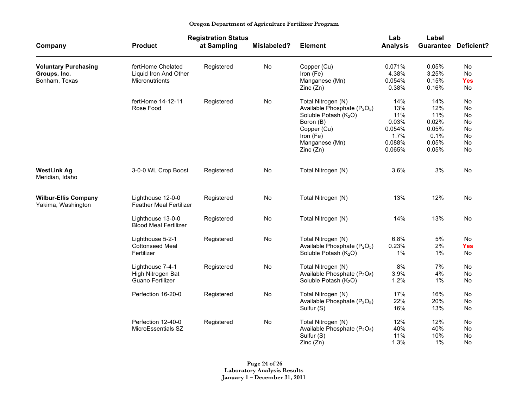|                                                              |                                                                | <b>Registration Status</b> |                    |                                                                                                                                                                                        | Lab                                                              | Label                                                         |                                              |
|--------------------------------------------------------------|----------------------------------------------------------------|----------------------------|--------------------|----------------------------------------------------------------------------------------------------------------------------------------------------------------------------------------|------------------------------------------------------------------|---------------------------------------------------------------|----------------------------------------------|
| Company                                                      | <b>Product</b>                                                 | at Sampling                | <b>Mislabeled?</b> | <b>Element</b>                                                                                                                                                                         | <b>Analysis</b>                                                  |                                                               | <b>Guarantee Deficient?</b>                  |
| <b>Voluntary Purchasing</b><br>Groups, Inc.<br>Bonham, Texas | ferti•lome Chelated<br>Liquid Iron And Other<br>Micronutrients | Registered                 | No                 | Copper (Cu)<br>Iron (Fe)<br>Manganese (Mn)<br>Zinc(Zn)                                                                                                                                 | 0.071%<br>4.38%<br>0.054%<br>0.38%                               | 0.05%<br>3.25%<br>0.15%<br>0.16%                              | No<br>No<br><b>Yes</b><br>No                 |
|                                                              | ferti•lome 14-12-11<br>Rose Food                               | Registered                 | No                 | Total Nitrogen (N)<br>Available Phosphate (P <sub>2</sub> O <sub>5</sub> )<br>Soluble Potash (K <sub>2</sub> O)<br>Boron (B)<br>Copper (Cu)<br>Iron (Fe)<br>Manganese (Mn)<br>Zinc(Zn) | 14%<br>13%<br>11%<br>0.03%<br>0.054%<br>1.7%<br>0.088%<br>0.065% | 14%<br>12%<br>11%<br>0.02%<br>0.05%<br>0.1%<br>0.05%<br>0.05% | No<br>No<br>No<br>No<br>No<br>No<br>No<br>No |
| <b>WestLink Ag</b><br>Meridian, Idaho                        | 3-0-0 WL Crop Boost                                            | Registered                 | No                 | Total Nitrogen (N)                                                                                                                                                                     | 3.6%                                                             | 3%                                                            | No                                           |
| <b>Wilbur-Ellis Company</b><br>Yakima, Washington            | Lighthouse 12-0-0<br><b>Feather Meal Fertilizer</b>            | Registered                 | No                 | Total Nitrogen (N)                                                                                                                                                                     | 13%                                                              | 12%                                                           | No                                           |
|                                                              | Lighthouse 13-0-0<br><b>Blood Meal Fertilizer</b>              | Registered                 | No                 | Total Nitrogen (N)                                                                                                                                                                     | 14%                                                              | 13%                                                           | No                                           |
|                                                              | Lighthouse 5-2-1<br><b>Cottonseed Meal</b><br>Fertilizer       | Registered                 | No                 | Total Nitrogen (N)<br>Available Phosphate (P <sub>2</sub> O <sub>5</sub> )<br>Soluble Potash (K <sub>2</sub> O)                                                                        | 6.8%<br>0.23%<br>1%                                              | 5%<br>2%<br>1%                                                | No<br><b>Yes</b><br>No                       |
|                                                              | Lighthouse 7-4-1<br>High Nitrogen Bat<br>Guano Fertilizer      | Registered                 | No                 | Total Nitrogen (N)<br>Available Phosphate (P <sub>2</sub> O <sub>5</sub> )<br>Soluble Potash (K <sub>2</sub> O)                                                                        | 8%<br>3.9%<br>1.2%                                               | 7%<br>4%<br>1%                                                | No<br>No<br>No                               |
|                                                              | Perfection 16-20-0                                             | Registered                 | No                 | Total Nitrogen (N)<br>Available Phosphate (P <sub>2</sub> O <sub>5</sub> )<br>Sulfur (S)                                                                                               | 17%<br>22%<br>16%                                                | 16%<br>20%<br>13%                                             | No<br>No<br>No                               |
|                                                              | Perfection 12-40-0<br>MicroEssentials SZ                       | Registered                 | No                 | Total Nitrogen (N)<br>Available Phosphate (P <sub>2</sub> O <sub>5</sub> )<br>Sulfur (S)<br>Zinc(Zn)                                                                                   | 12%<br>40%<br>11%<br>1.3%                                        | 12%<br>40%<br>10%<br>1%                                       | No<br><b>No</b><br>No<br>No                  |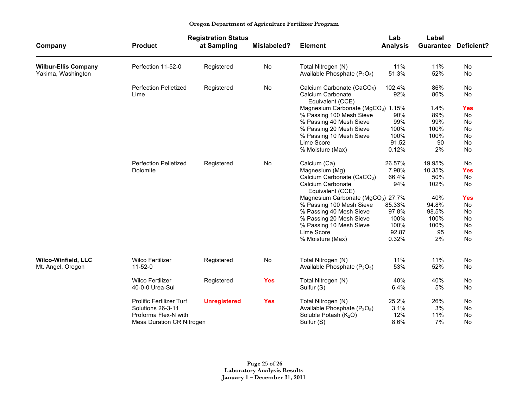|                             | <b>Registration Status</b>   |                     |             |                                                      | Lab             | Label     |                   |
|-----------------------------|------------------------------|---------------------|-------------|------------------------------------------------------|-----------------|-----------|-------------------|
| Company                     | <b>Product</b>               | at Sampling         | Mislabeled? | <b>Element</b>                                       | <b>Analysis</b> | Guarantee | <b>Deficient?</b> |
| <b>Wilbur-Ellis Company</b> | Perfection 11-52-0           | Registered          | No          | Total Nitrogen (N)                                   | 11%             | 11%       | No                |
| Yakima, Washington          |                              |                     |             | Available Phosphate $(P_2O_5)$                       | 51.3%           | 52%       | No                |
|                             | <b>Perfection Pelletized</b> | Registered          | No          | Calcium Carbonate (CaCO <sub>3</sub> )               | 102.4%          | 86%       | No                |
|                             | Lime                         |                     |             | Calcium Carbonate<br>Equivalent (CCE)                | 92%             | 86%       | No                |
|                             |                              |                     |             | Magnesium Carbonate (MgCO <sub>3</sub> ) 1.15%       |                 | 1.4%      | <b>Yes</b>        |
|                             |                              |                     |             | % Passing 100 Mesh Sieve                             | 90%             | 89%       | No                |
|                             |                              |                     |             | % Passing 40 Mesh Sieve                              | 99%             | 99%       | <b>No</b>         |
|                             |                              |                     |             | % Passing 20 Mesh Sieve                              | 100%            | 100%      | No                |
|                             |                              |                     |             | % Passing 10 Mesh Sieve                              | 100%            | 100%      | No                |
|                             |                              |                     |             | Lime Score                                           | 91.52           | 90        | <b>No</b>         |
|                             |                              |                     |             | % Moisture (Max)                                     | 0.12%           | 2%        | No                |
|                             | <b>Perfection Pelletized</b> | Registered          | No          | Calcium (Ca)                                         | 26.57%          | 19.95%    | <b>No</b>         |
|                             | Dolomite                     |                     |             | Magnesium (Mg)                                       | 7.98%           | 10.35%    | <b>Yes</b>        |
|                             |                              |                     |             | Calcium Carbonate (CaCO <sub>3</sub> )               | 66.4%           | 50%       | No                |
|                             |                              |                     |             | Calcium Carbonate<br>Equivalent (CCE)                | 94%             | 102%      | No                |
|                             |                              |                     |             | Magnesium Carbonate (MgCO <sub>3</sub> ) 27.7%       |                 | 40%       | <b>Yes</b>        |
|                             |                              |                     |             | % Passing 100 Mesh Sieve                             | 85.33%          | 94.8%     | No                |
|                             |                              |                     |             | % Passing 40 Mesh Sieve                              | 97.8%           | 98.5%     | No                |
|                             |                              |                     |             | % Passing 20 Mesh Sieve                              | 100%            | 100%      | <b>No</b>         |
|                             |                              |                     |             | % Passing 10 Mesh Sieve                              | 100%            | 100%      | No                |
|                             |                              |                     |             | Lime Score                                           | 92.87           | 95        | <b>No</b>         |
|                             |                              |                     |             | % Moisture (Max)                                     | 0.32%           | 2%        | <b>No</b>         |
| <b>Wilco-Winfield, LLC</b>  | <b>Wilco Fertilizer</b>      | Registered          | No          | Total Nitrogen (N)                                   | 11%             | 11%       | <b>No</b>         |
| Mt. Angel, Oregon           | $11 - 52 - 0$                |                     |             | Available Phosphate (P <sub>2</sub> O <sub>5</sub> ) | 53%             | 52%       | <b>No</b>         |
|                             |                              |                     |             |                                                      |                 |           |                   |
|                             | <b>Wilco Fertilizer</b>      | Registered          | <b>Yes</b>  | Total Nitrogen (N)                                   | 40%             | 40%       | No                |
|                             | 40-0-0 Urea-Sul              |                     |             | Sulfur (S)                                           | 6.4%            | 5%        | <b>No</b>         |
|                             | Prolific Fertilizer Turf     | <b>Unregistered</b> | <b>Yes</b>  | Total Nitrogen (N)                                   | 25.2%           | 26%       | No                |
|                             | Solutions 26-3-11            |                     |             | Available Phosphate (P <sub>2</sub> O <sub>5</sub> ) | 3.1%            | 3%        | <b>No</b>         |
|                             | Proforma Flex-N with         |                     |             | Soluble Potash $(K_2O)$                              | 12%             | 11%       | No                |
|                             | Mesa Duration CR Nitrogen    |                     |             | Sulfur (S)                                           | 8.6%            | 7%        | No                |